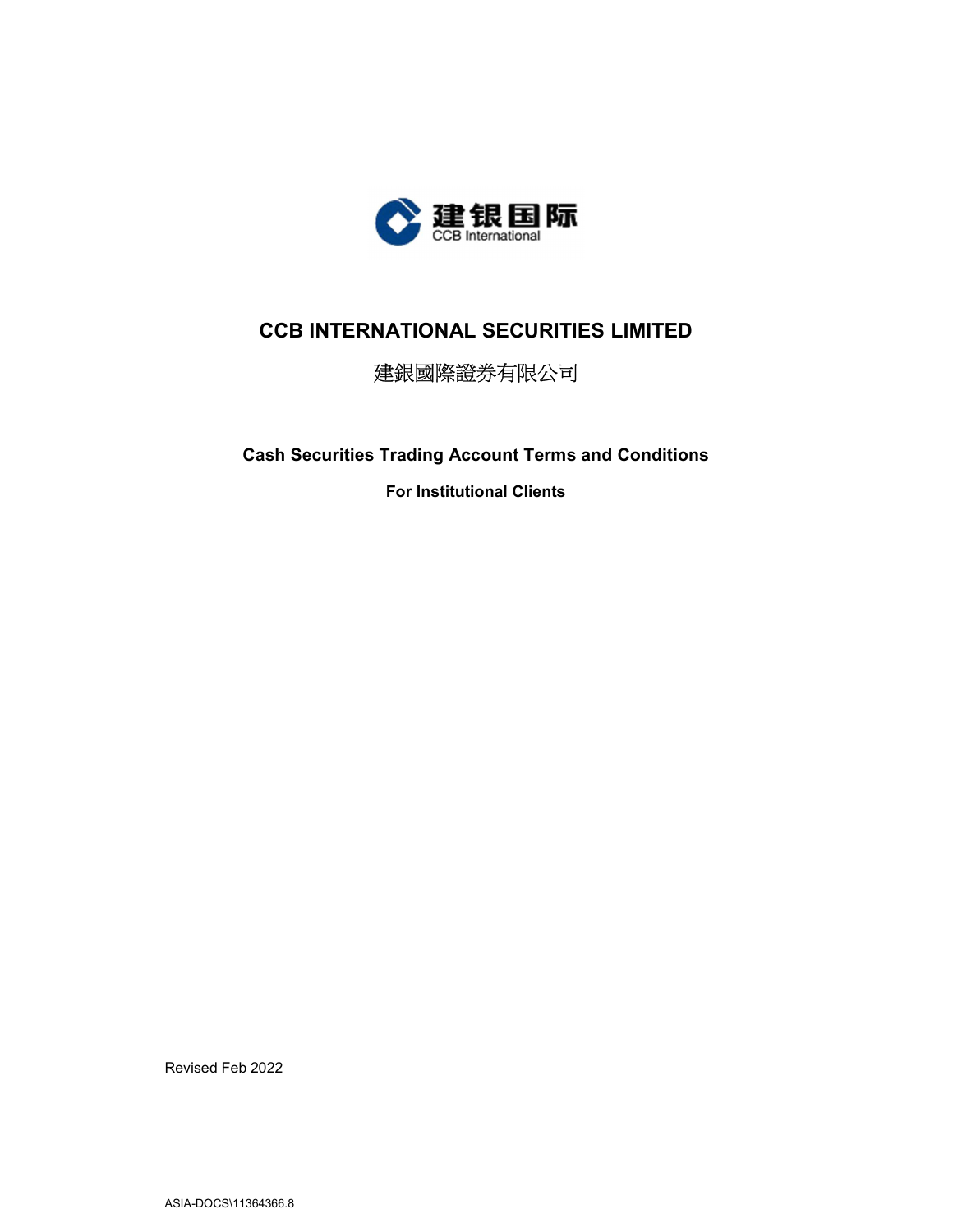

# CCB INTERNATIONAL SECURITIES LIMITED

# 建銀國際證券有限公司

Cash Securities Trading Account Terms and Conditions

For Institutional Clients

Revised Feb 2022

ASIA-DOCS\11364366.8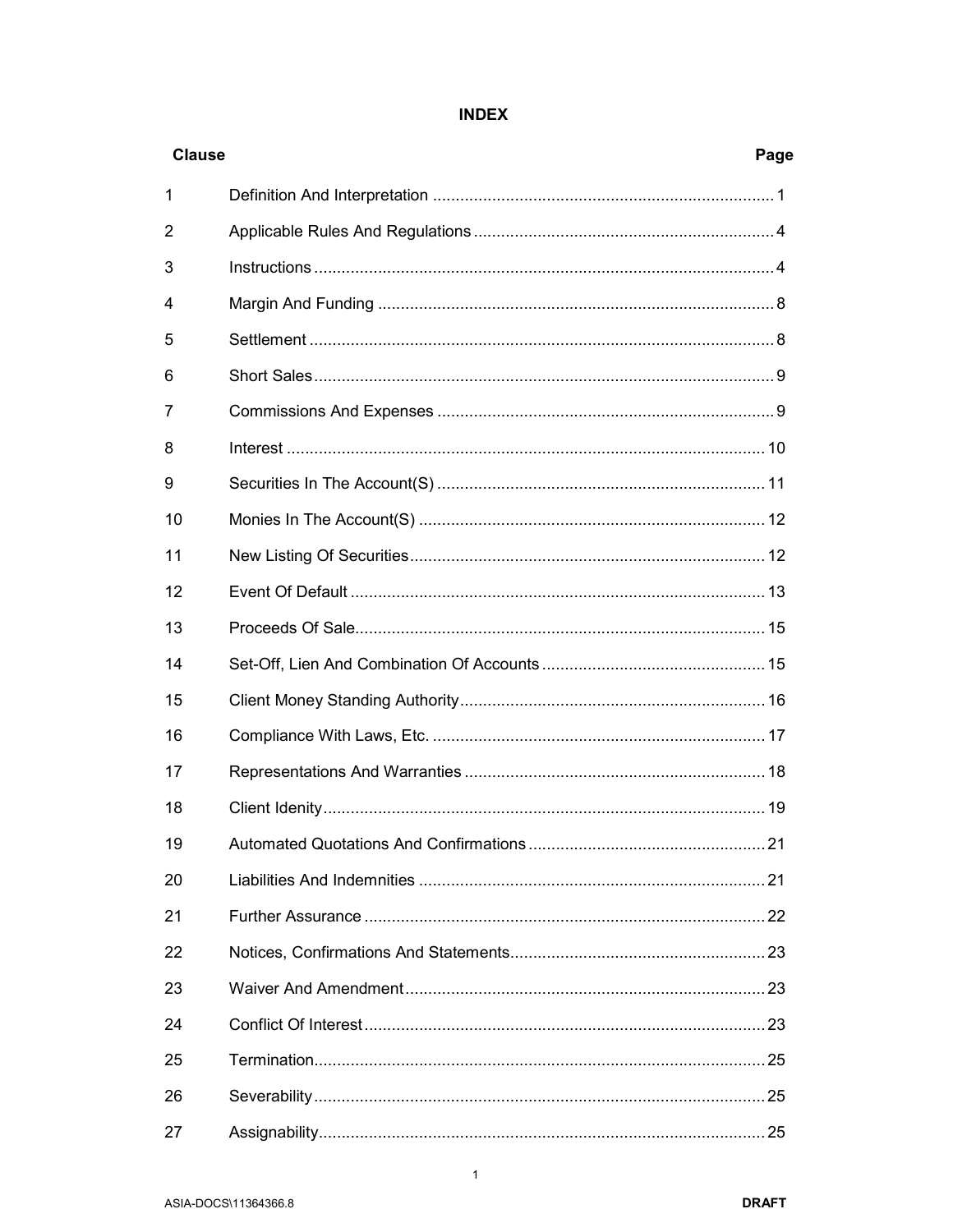| 1              |  |
|----------------|--|
| $\overline{2}$ |  |
| 3              |  |
| 4              |  |
| 5              |  |
| 6              |  |
| 7              |  |
| 8              |  |
| 9              |  |
| 10             |  |
| 11             |  |
| 12             |  |
| 13             |  |
| 14             |  |
| 15             |  |
| 16             |  |
| 17             |  |
| 18             |  |
| 19             |  |
| 20             |  |
| 21             |  |
| 22             |  |
| 23             |  |
| 24             |  |
| 25             |  |
| 26             |  |

# **INDEX**

27

**Clause** 

Page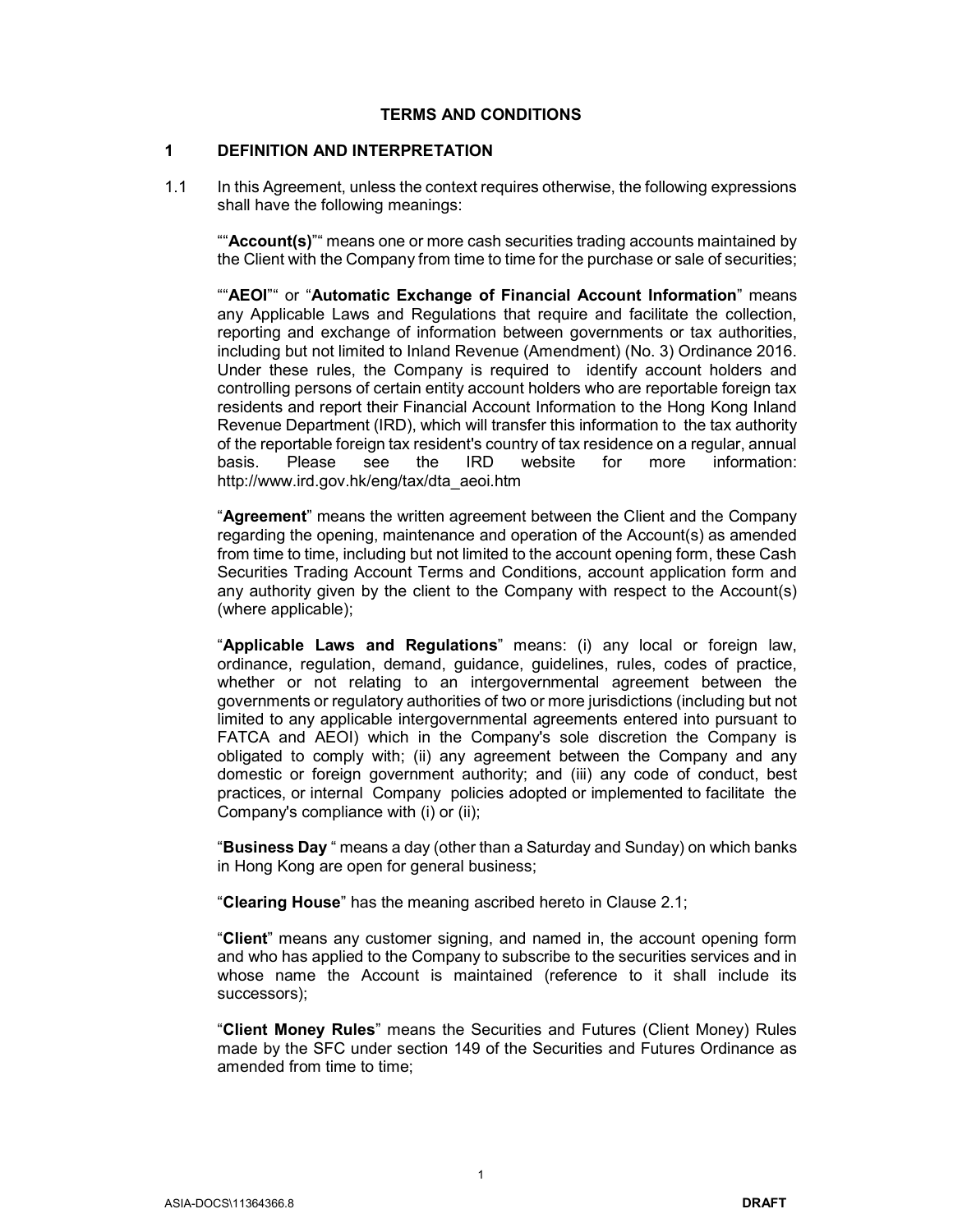#### TERMS AND CONDITIONS

#### 1 DEFINITION AND INTERPRETATION

1.1 In this Agreement, unless the context requires otherwise, the following expressions shall have the following meanings:

""Account(s)"" means one or more cash securities trading accounts maintained by the Client with the Company from time to time for the purchase or sale of securities;

""AEOI"" or "Automatic Exchange of Financial Account Information" means any Applicable Laws and Regulations that require and facilitate the collection, reporting and exchange of information between governments or tax authorities, including but not limited to Inland Revenue (Amendment) (No. 3) Ordinance 2016. Under these rules, the Company is required to identify account holders and controlling persons of certain entity account holders who are reportable foreign tax residents and report their Financial Account Information to the Hong Kong Inland Revenue Department (IRD), which will transfer this information to the tax authority of the reportable foreign tax resident's country of tax residence on a regular, annual basis. Please see the IRD website for more information: http://www.ird.gov.hk/eng/tax/dta\_aeoi.htm

"Agreement" means the written agreement between the Client and the Company regarding the opening, maintenance and operation of the Account(s) as amended from time to time, including but not limited to the account opening form, these Cash Securities Trading Account Terms and Conditions, account application form and any authority given by the client to the Company with respect to the Account(s) (where applicable);

"Applicable Laws and Regulations" means: (i) any local or foreign law, ordinance, regulation, demand, guidance, guidelines, rules, codes of practice, whether or not relating to an intergovernmental agreement between the governments or regulatory authorities of two or more jurisdictions (including but not limited to any applicable intergovernmental agreements entered into pursuant to FATCA and AEOI) which in the Company's sole discretion the Company is obligated to comply with; (ii) any agreement between the Company and any domestic or foreign government authority; and (iii) any code of conduct, best practices, or internal Company policies adopted or implemented to facilitate the Company's compliance with (i) or (ii);

"Business Day " means a day (other than a Saturday and Sunday) on which banks in Hong Kong are open for general business;

"Clearing House" has the meaning ascribed hereto in Clause 2.1;

"Client" means any customer signing, and named in, the account opening form and who has applied to the Company to subscribe to the securities services and in whose name the Account is maintained (reference to it shall include its successors);

"Client Money Rules" means the Securities and Futures (Client Money) Rules made by the SFC under section 149 of the Securities and Futures Ordinance as amended from time to time;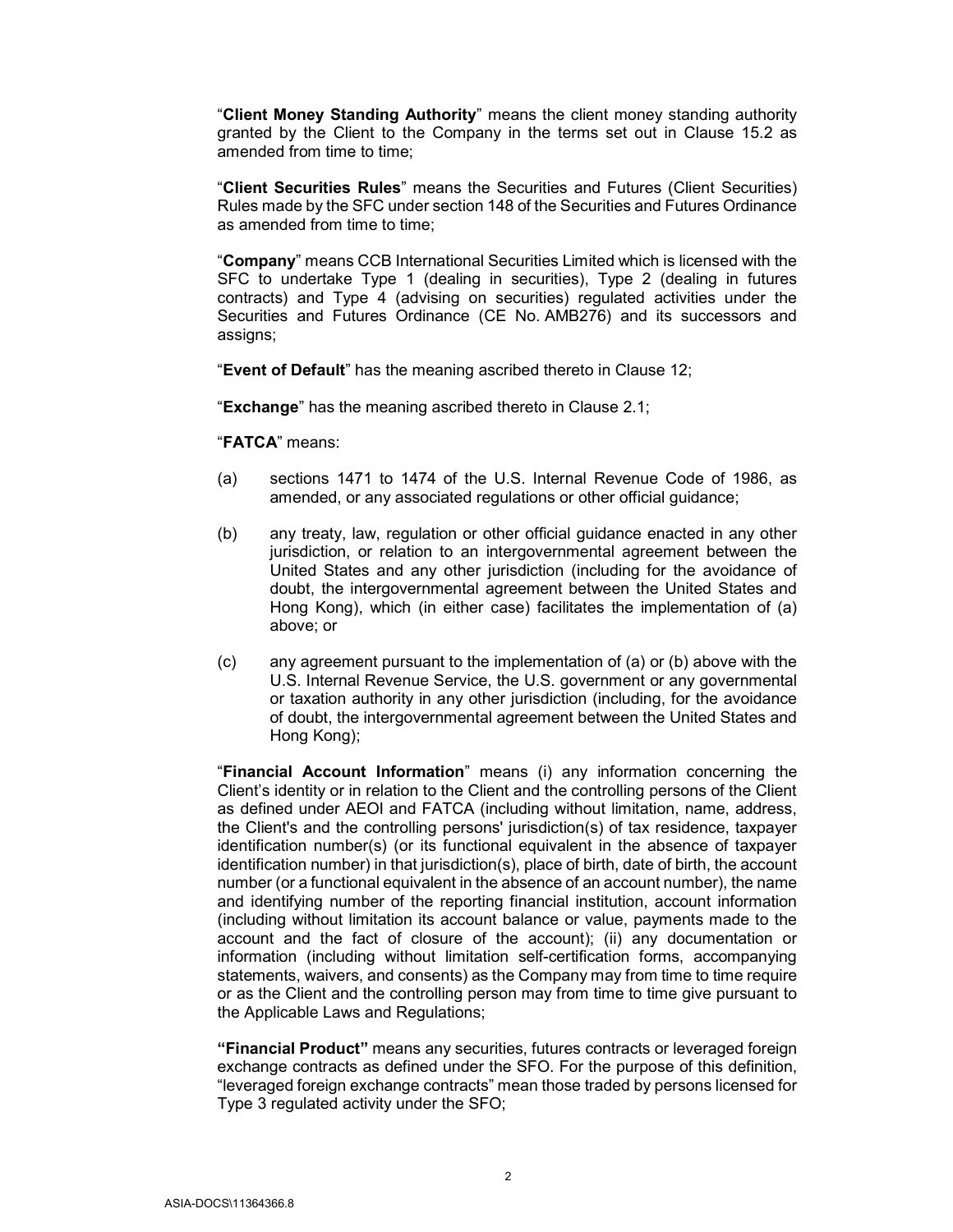"Client Money Standing Authority" means the client money standing authority granted by the Client to the Company in the terms set out in Clause 15.2 as amended from time to time;

"Client Securities Rules" means the Securities and Futures (Client Securities) Rules made by the SFC under section 148 of the Securities and Futures Ordinance as amended from time to time;

"Company" means CCB International Securities Limited which is licensed with the SFC to undertake Type 1 (dealing in securities), Type 2 (dealing in futures contracts) and Type 4 (advising on securities) regulated activities under the Securities and Futures Ordinance (CE No. AMB276) and its successors and assigns;

"Event of Default" has the meaning ascribed thereto in Clause 12;

"Exchange" has the meaning ascribed thereto in Clause 2.1;

"FATCA" means:

- (a) sections 1471 to 1474 of the U.S. Internal Revenue Code of 1986, as amended, or any associated regulations or other official guidance;
- (b) any treaty, law, regulation or other official guidance enacted in any other jurisdiction, or relation to an intergovernmental agreement between the United States and any other jurisdiction (including for the avoidance of doubt, the intergovernmental agreement between the United States and Hong Kong), which (in either case) facilitates the implementation of (a) above; or
- (c) any agreement pursuant to the implementation of (a) or (b) above with the U.S. Internal Revenue Service, the U.S. government or any governmental or taxation authority in any other jurisdiction (including, for the avoidance of doubt, the intergovernmental agreement between the United States and Hong Kong);

"Financial Account Information" means (i) any information concerning the Client's identity or in relation to the Client and the controlling persons of the Client as defined under AEOI and FATCA (including without limitation, name, address, the Client's and the controlling persons' jurisdiction(s) of tax residence, taxpayer identification number(s) (or its functional equivalent in the absence of taxpayer identification number) in that jurisdiction(s), place of birth, date of birth, the account number (or a functional equivalent in the absence of an account number), the name and identifying number of the reporting financial institution, account information (including without limitation its account balance or value, payments made to the account and the fact of closure of the account); (ii) any documentation or information (including without limitation self-certification forms, accompanying statements, waivers, and consents) as the Company may from time to time require or as the Client and the controlling person may from time to time give pursuant to the Applicable Laws and Regulations;

"Financial Product" means any securities, futures contracts or leveraged foreign exchange contracts as defined under the SFO. For the purpose of this definition, "leveraged foreign exchange contracts" mean those traded by persons licensed for Type 3 regulated activity under the SFO;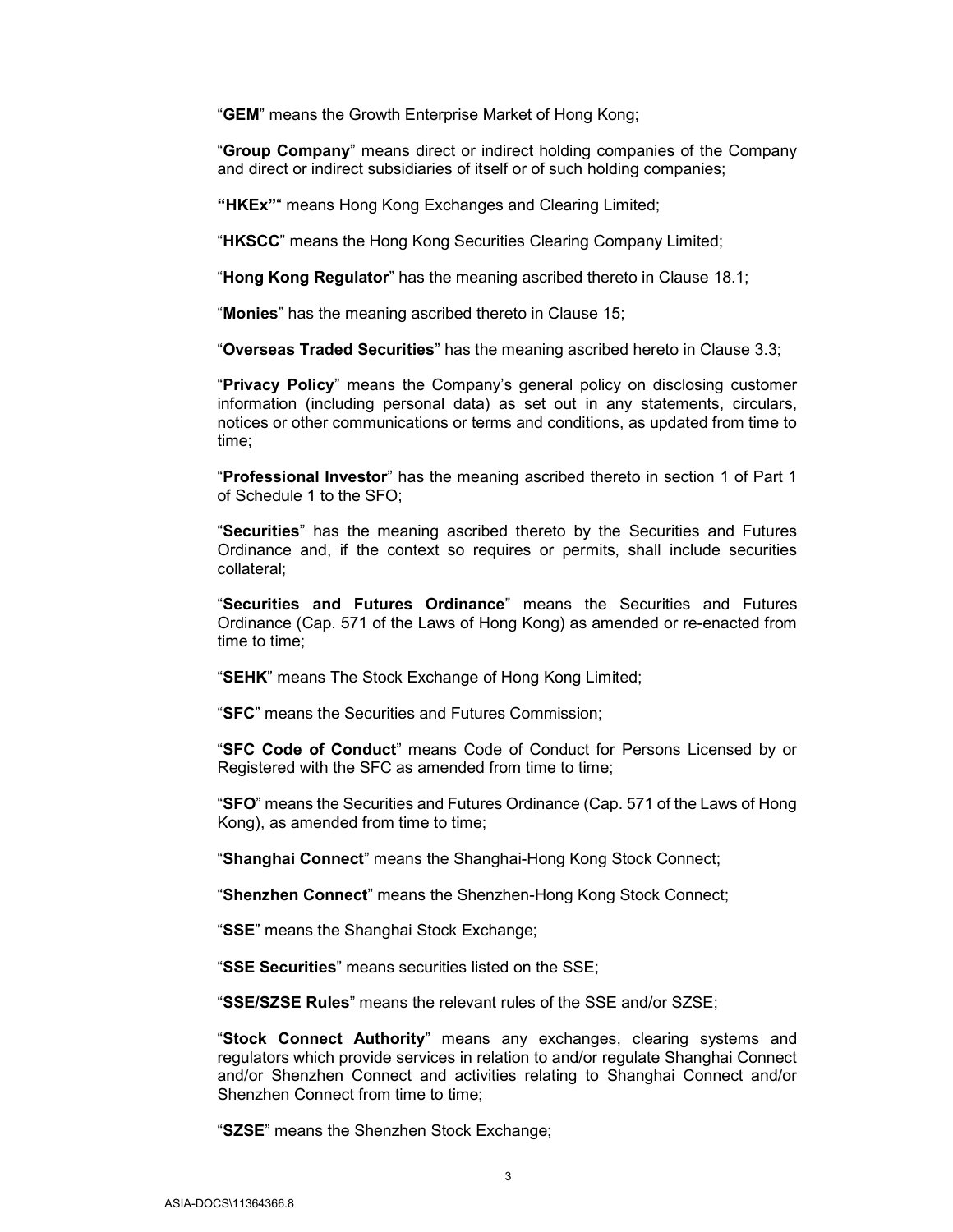"GEM" means the Growth Enterprise Market of Hong Kong;

"Group Company" means direct or indirect holding companies of the Company and direct or indirect subsidiaries of itself or of such holding companies;

"HKEx"" means Hong Kong Exchanges and Clearing Limited;

"HKSCC" means the Hong Kong Securities Clearing Company Limited;

"Hong Kong Regulator" has the meaning ascribed thereto in Clause 18.1;

"Monies" has the meaning ascribed thereto in Clause 15;

"Overseas Traded Securities" has the meaning ascribed hereto in Clause 3.3;

"Privacy Policy" means the Company's general policy on disclosing customer information (including personal data) as set out in any statements, circulars, notices or other communications or terms and conditions, as updated from time to time;

"Professional Investor" has the meaning ascribed thereto in section 1 of Part 1 of Schedule 1 to the SFO;

"Securities" has the meaning ascribed thereto by the Securities and Futures Ordinance and, if the context so requires or permits, shall include securities collateral;

"Securities and Futures Ordinance" means the Securities and Futures Ordinance (Cap. 571 of the Laws of Hong Kong) as amended or re-enacted from time to time;

"SEHK" means The Stock Exchange of Hong Kong Limited;

"SFC" means the Securities and Futures Commission;

"SFC Code of Conduct" means Code of Conduct for Persons Licensed by or Registered with the SFC as amended from time to time;

"SFO" means the Securities and Futures Ordinance (Cap. 571 of the Laws of Hong Kong), as amended from time to time;

"Shanghai Connect" means the Shanghai-Hong Kong Stock Connect;

"Shenzhen Connect" means the Shenzhen-Hong Kong Stock Connect;

"SSE" means the Shanghai Stock Exchange;

"SSE Securities" means securities listed on the SSE;

"SSE/SZSE Rules" means the relevant rules of the SSE and/or SZSE;

"Stock Connect Authority" means any exchanges, clearing systems and regulators which provide services in relation to and/or regulate Shanghai Connect and/or Shenzhen Connect and activities relating to Shanghai Connect and/or Shenzhen Connect from time to time;

"SZSE" means the Shenzhen Stock Exchange;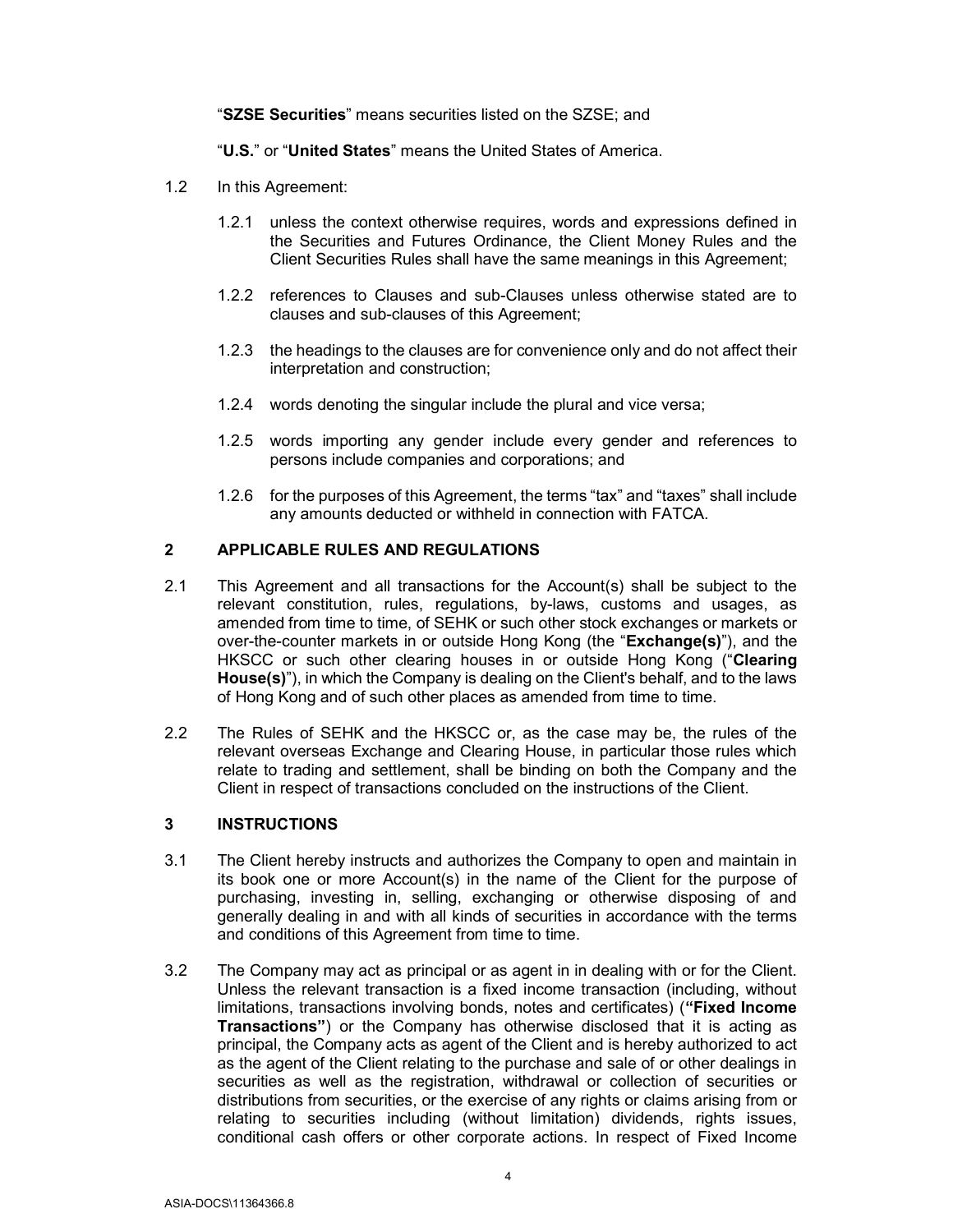"SZSE Securities" means securities listed on the SZSE; and

"U.S." or "United States" means the United States of America.

- 1.2 In this Agreement:
	- 1.2.1 unless the context otherwise requires, words and expressions defined in the Securities and Futures Ordinance, the Client Money Rules and the Client Securities Rules shall have the same meanings in this Agreement;
	- 1.2.2 references to Clauses and sub-Clauses unless otherwise stated are to clauses and sub-clauses of this Agreement;
	- 1.2.3 the headings to the clauses are for convenience only and do not affect their interpretation and construction;
	- 1.2.4 words denoting the singular include the plural and vice versa;
	- 1.2.5 words importing any gender include every gender and references to persons include companies and corporations; and
	- 1.2.6 for the purposes of this Agreement, the terms "tax" and "taxes" shall include any amounts deducted or withheld in connection with FATCA.

#### 2 APPLICABLE RULES AND REGULATIONS

- 2.1 This Agreement and all transactions for the Account(s) shall be subject to the relevant constitution, rules, regulations, by-laws, customs and usages, as amended from time to time, of SEHK or such other stock exchanges or markets or over-the-counter markets in or outside Hong Kong (the "Exchange(s)"), and the HKSCC or such other clearing houses in or outside Hong Kong ("Clearing House(s)"), in which the Company is dealing on the Client's behalf, and to the laws of Hong Kong and of such other places as amended from time to time.
- 2.2 The Rules of SEHK and the HKSCC or, as the case may be, the rules of the relevant overseas Exchange and Clearing House, in particular those rules which relate to trading and settlement, shall be binding on both the Company and the Client in respect of transactions concluded on the instructions of the Client.

#### 3 INSTRUCTIONS

- 3.1 The Client hereby instructs and authorizes the Company to open and maintain in its book one or more Account(s) in the name of the Client for the purpose of purchasing, investing in, selling, exchanging or otherwise disposing of and generally dealing in and with all kinds of securities in accordance with the terms and conditions of this Agreement from time to time.
- 3.2 The Company may act as principal or as agent in in dealing with or for the Client. Unless the relevant transaction is a fixed income transaction (including, without limitations, transactions involving bonds, notes and certificates) ("Fixed Income Transactions") or the Company has otherwise disclosed that it is acting as principal, the Company acts as agent of the Client and is hereby authorized to act as the agent of the Client relating to the purchase and sale of or other dealings in securities as well as the registration, withdrawal or collection of securities or distributions from securities, or the exercise of any rights or claims arising from or relating to securities including (without limitation) dividends, rights issues, conditional cash offers or other corporate actions. In respect of Fixed Income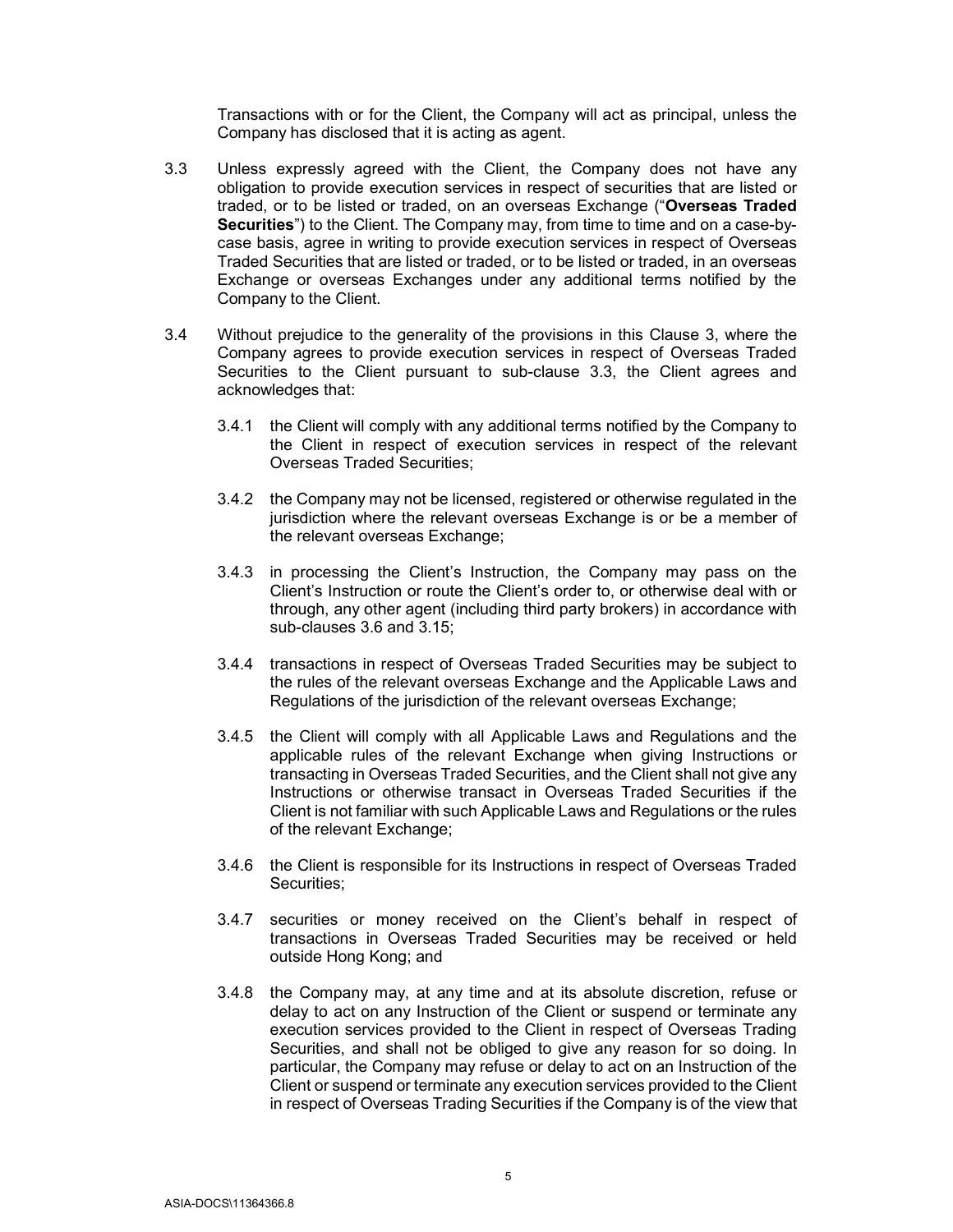Transactions with or for the Client, the Company will act as principal, unless the Company has disclosed that it is acting as agent.

- 3.3 Unless expressly agreed with the Client, the Company does not have any obligation to provide execution services in respect of securities that are listed or traded, or to be listed or traded, on an overseas Exchange ("Overseas Traded Securities") to the Client. The Company may, from time to time and on a case-bycase basis, agree in writing to provide execution services in respect of Overseas Traded Securities that are listed or traded, or to be listed or traded, in an overseas Exchange or overseas Exchanges under any additional terms notified by the Company to the Client.
- 3.4 Without prejudice to the generality of the provisions in this Clause 3, where the Company agrees to provide execution services in respect of Overseas Traded Securities to the Client pursuant to sub-clause 3.3, the Client agrees and acknowledges that:
	- 3.4.1 the Client will comply with any additional terms notified by the Company to the Client in respect of execution services in respect of the relevant Overseas Traded Securities;
	- 3.4.2 the Company may not be licensed, registered or otherwise regulated in the jurisdiction where the relevant overseas Exchange is or be a member of the relevant overseas Exchange;
	- 3.4.3 in processing the Client's Instruction, the Company may pass on the Client's Instruction or route the Client's order to, or otherwise deal with or through, any other agent (including third party brokers) in accordance with sub-clauses 3.6 and 3.15;
	- 3.4.4 transactions in respect of Overseas Traded Securities may be subject to the rules of the relevant overseas Exchange and the Applicable Laws and Regulations of the jurisdiction of the relevant overseas Exchange;
	- 3.4.5 the Client will comply with all Applicable Laws and Regulations and the applicable rules of the relevant Exchange when giving Instructions or transacting in Overseas Traded Securities, and the Client shall not give any Instructions or otherwise transact in Overseas Traded Securities if the Client is not familiar with such Applicable Laws and Regulations or the rules of the relevant Exchange;
	- 3.4.6 the Client is responsible for its Instructions in respect of Overseas Traded Securities:
	- 3.4.7 securities or money received on the Client's behalf in respect of transactions in Overseas Traded Securities may be received or held outside Hong Kong; and
	- 3.4.8 the Company may, at any time and at its absolute discretion, refuse or delay to act on any Instruction of the Client or suspend or terminate any execution services provided to the Client in respect of Overseas Trading Securities, and shall not be obliged to give any reason for so doing. In particular, the Company may refuse or delay to act on an Instruction of the Client or suspend or terminate any execution services provided to the Client in respect of Overseas Trading Securities if the Company is of the view that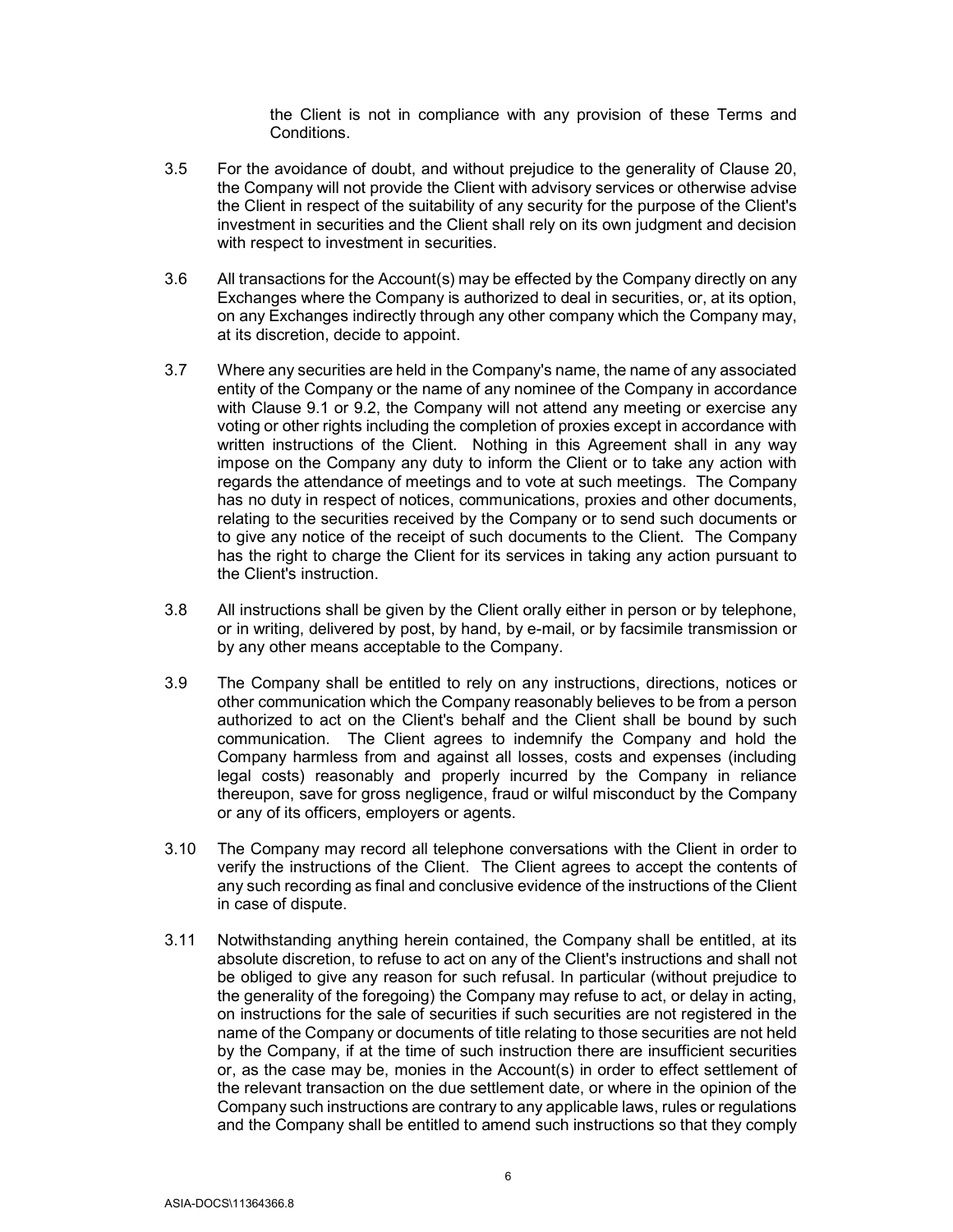the Client is not in compliance with any provision of these Terms and Conditions.

- 3.5 For the avoidance of doubt, and without prejudice to the generality of Clause 20, the Company will not provide the Client with advisory services or otherwise advise the Client in respect of the suitability of any security for the purpose of the Client's investment in securities and the Client shall rely on its own judgment and decision with respect to investment in securities.
- 3.6 All transactions for the Account(s) may be effected by the Company directly on any Exchanges where the Company is authorized to deal in securities, or, at its option, on any Exchanges indirectly through any other company which the Company may, at its discretion, decide to appoint.
- 3.7 Where any securities are held in the Company's name, the name of any associated entity of the Company or the name of any nominee of the Company in accordance with Clause 9.1 or 9.2, the Company will not attend any meeting or exercise any voting or other rights including the completion of proxies except in accordance with written instructions of the Client. Nothing in this Agreement shall in any way impose on the Company any duty to inform the Client or to take any action with regards the attendance of meetings and to vote at such meetings. The Company has no duty in respect of notices, communications, proxies and other documents, relating to the securities received by the Company or to send such documents or to give any notice of the receipt of such documents to the Client. The Company has the right to charge the Client for its services in taking any action pursuant to the Client's instruction.
- 3.8 All instructions shall be given by the Client orally either in person or by telephone, or in writing, delivered by post, by hand, by e-mail, or by facsimile transmission or by any other means acceptable to the Company.
- 3.9 The Company shall be entitled to rely on any instructions, directions, notices or other communication which the Company reasonably believes to be from a person authorized to act on the Client's behalf and the Client shall be bound by such communication. The Client agrees to indemnify the Company and hold the Company harmless from and against all losses, costs and expenses (including legal costs) reasonably and properly incurred by the Company in reliance thereupon, save for gross negligence, fraud or wilful misconduct by the Company or any of its officers, employers or agents.
- 3.10 The Company may record all telephone conversations with the Client in order to verify the instructions of the Client. The Client agrees to accept the contents of any such recording as final and conclusive evidence of the instructions of the Client in case of dispute.
- 3.11 Notwithstanding anything herein contained, the Company shall be entitled, at its absolute discretion, to refuse to act on any of the Client's instructions and shall not be obliged to give any reason for such refusal. In particular (without prejudice to the generality of the foregoing) the Company may refuse to act, or delay in acting, on instructions for the sale of securities if such securities are not registered in the name of the Company or documents of title relating to those securities are not held by the Company, if at the time of such instruction there are insufficient securities or, as the case may be, monies in the Account(s) in order to effect settlement of the relevant transaction on the due settlement date, or where in the opinion of the Company such instructions are contrary to any applicable laws, rules or regulations and the Company shall be entitled to amend such instructions so that they comply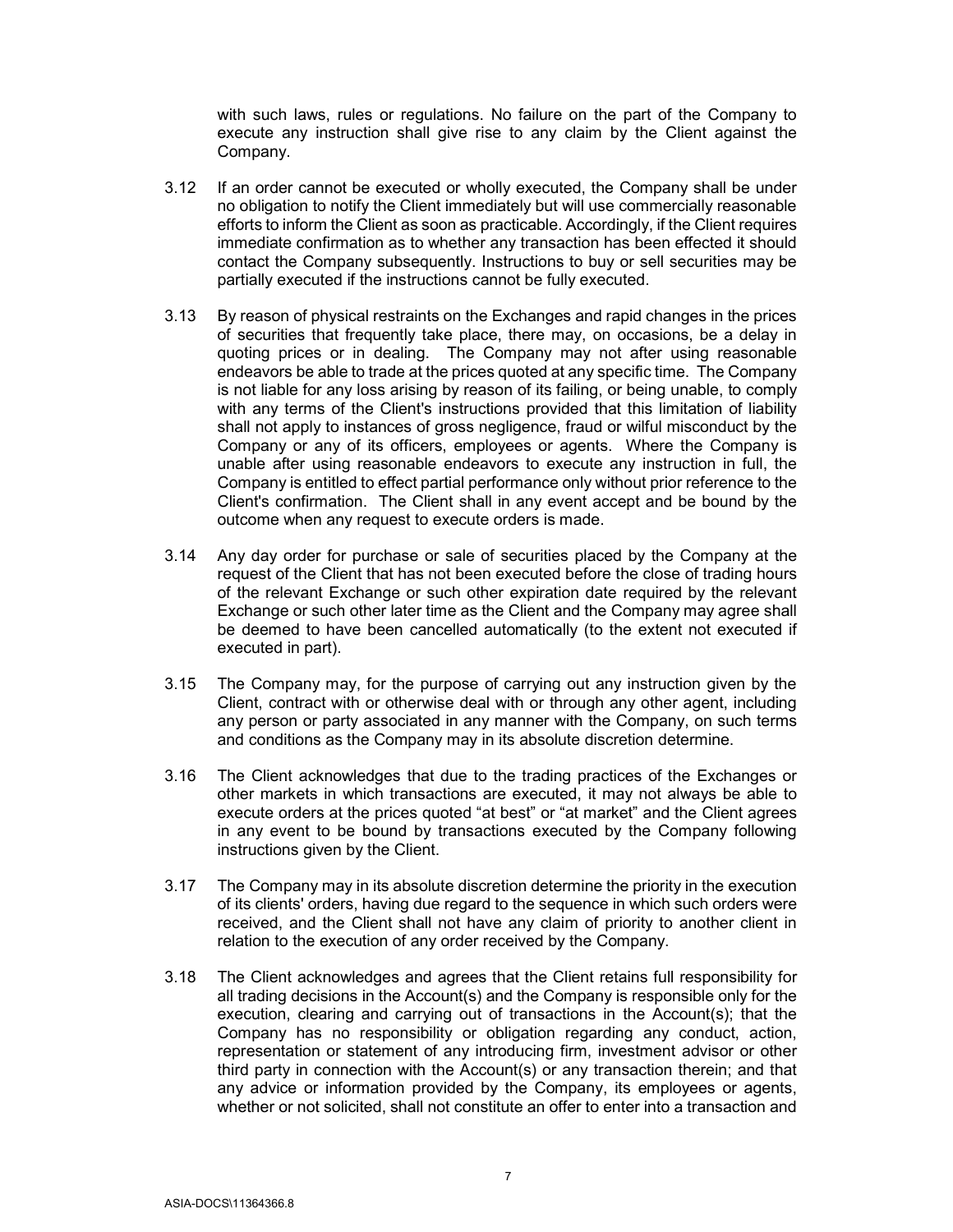with such laws, rules or regulations. No failure on the part of the Company to execute any instruction shall give rise to any claim by the Client against the Company.

- 3.12 If an order cannot be executed or wholly executed, the Company shall be under no obligation to notify the Client immediately but will use commercially reasonable efforts to inform the Client as soon as practicable. Accordingly, if the Client requires immediate confirmation as to whether any transaction has been effected it should contact the Company subsequently. Instructions to buy or sell securities may be partially executed if the instructions cannot be fully executed.
- 3.13 By reason of physical restraints on the Exchanges and rapid changes in the prices of securities that frequently take place, there may, on occasions, be a delay in quoting prices or in dealing. The Company may not after using reasonable endeavors be able to trade at the prices quoted at any specific time. The Company is not liable for any loss arising by reason of its failing, or being unable, to comply with any terms of the Client's instructions provided that this limitation of liability shall not apply to instances of gross negligence, fraud or wilful misconduct by the Company or any of its officers, employees or agents. Where the Company is unable after using reasonable endeavors to execute any instruction in full, the Company is entitled to effect partial performance only without prior reference to the Client's confirmation. The Client shall in any event accept and be bound by the outcome when any request to execute orders is made.
- 3.14 Any day order for purchase or sale of securities placed by the Company at the request of the Client that has not been executed before the close of trading hours of the relevant Exchange or such other expiration date required by the relevant Exchange or such other later time as the Client and the Company may agree shall be deemed to have been cancelled automatically (to the extent not executed if executed in part).
- 3.15 The Company may, for the purpose of carrying out any instruction given by the Client, contract with or otherwise deal with or through any other agent, including any person or party associated in any manner with the Company, on such terms and conditions as the Company may in its absolute discretion determine.
- 3.16 The Client acknowledges that due to the trading practices of the Exchanges or other markets in which transactions are executed, it may not always be able to execute orders at the prices quoted "at best" or "at market" and the Client agrees in any event to be bound by transactions executed by the Company following instructions given by the Client.
- 3.17 The Company may in its absolute discretion determine the priority in the execution of its clients' orders, having due regard to the sequence in which such orders were received, and the Client shall not have any claim of priority to another client in relation to the execution of any order received by the Company.
- 3.18 The Client acknowledges and agrees that the Client retains full responsibility for all trading decisions in the Account(s) and the Company is responsible only for the execution, clearing and carrying out of transactions in the Account(s); that the Company has no responsibility or obligation regarding any conduct, action, representation or statement of any introducing firm, investment advisor or other third party in connection with the Account(s) or any transaction therein; and that any advice or information provided by the Company, its employees or agents, whether or not solicited, shall not constitute an offer to enter into a transaction and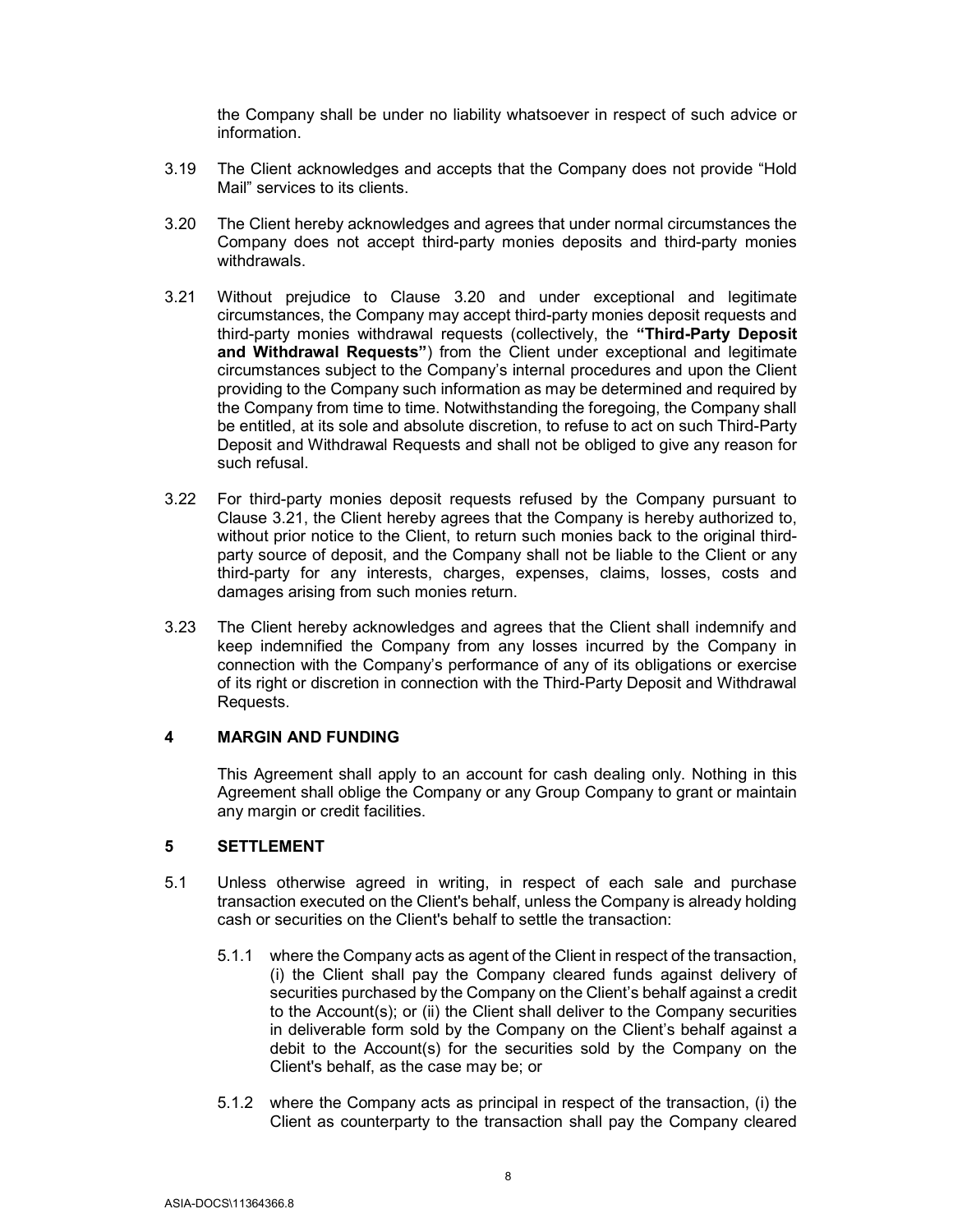the Company shall be under no liability whatsoever in respect of such advice or information.

- 3.19 The Client acknowledges and accepts that the Company does not provide "Hold Mail" services to its clients.
- 3.20 The Client hereby acknowledges and agrees that under normal circumstances the Company does not accept third-party monies deposits and third-party monies withdrawals.
- 3.21 Without prejudice to Clause 3.20 and under exceptional and legitimate circumstances, the Company may accept third-party monies deposit requests and third-party monies withdrawal requests (collectively, the "Third-Party Deposit and Withdrawal Requests") from the Client under exceptional and legitimate circumstances subject to the Company's internal procedures and upon the Client providing to the Company such information as may be determined and required by the Company from time to time. Notwithstanding the foregoing, the Company shall be entitled, at its sole and absolute discretion, to refuse to act on such Third-Party Deposit and Withdrawal Requests and shall not be obliged to give any reason for such refusal.
- 3.22 For third-party monies deposit requests refused by the Company pursuant to Clause 3.21, the Client hereby agrees that the Company is hereby authorized to, without prior notice to the Client, to return such monies back to the original thirdparty source of deposit, and the Company shall not be liable to the Client or any third-party for any interests, charges, expenses, claims, losses, costs and damages arising from such monies return.
- 3.23 The Client hereby acknowledges and agrees that the Client shall indemnify and keep indemnified the Company from any losses incurred by the Company in connection with the Company's performance of any of its obligations or exercise of its right or discretion in connection with the Third-Party Deposit and Withdrawal Requests.

#### 4 MARGIN AND FUNDING

This Agreement shall apply to an account for cash dealing only. Nothing in this Agreement shall oblige the Company or any Group Company to grant or maintain any margin or credit facilities.

#### 5 SETTLEMENT

- 5.1 Unless otherwise agreed in writing, in respect of each sale and purchase transaction executed on the Client's behalf, unless the Company is already holding cash or securities on the Client's behalf to settle the transaction:
	- 5.1.1 where the Company acts as agent of the Client in respect of the transaction, (i) the Client shall pay the Company cleared funds against delivery of securities purchased by the Company on the Client's behalf against a credit to the Account(s); or (ii) the Client shall deliver to the Company securities in deliverable form sold by the Company on the Client's behalf against a debit to the Account(s) for the securities sold by the Company on the Client's behalf, as the case may be; or
	- 5.1.2 where the Company acts as principal in respect of the transaction, (i) the Client as counterparty to the transaction shall pay the Company cleared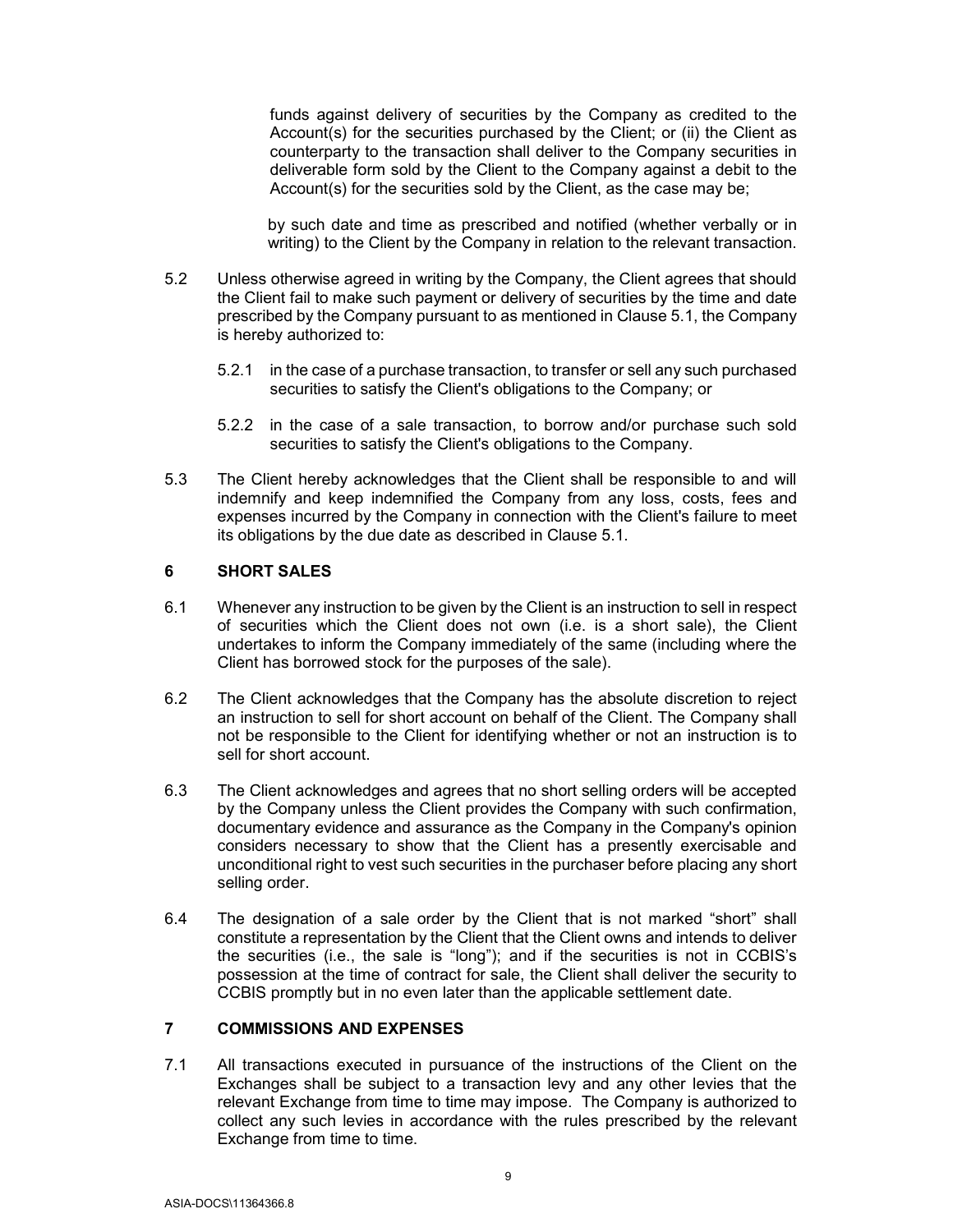funds against delivery of securities by the Company as credited to the Account(s) for the securities purchased by the Client; or (ii) the Client as counterparty to the transaction shall deliver to the Company securities in deliverable form sold by the Client to the Company against a debit to the Account(s) for the securities sold by the Client, as the case may be;

by such date and time as prescribed and notified (whether verbally or in writing) to the Client by the Company in relation to the relevant transaction.

- 5.2 Unless otherwise agreed in writing by the Company, the Client agrees that should the Client fail to make such payment or delivery of securities by the time and date prescribed by the Company pursuant to as mentioned in Clause 5.1, the Company is hereby authorized to:
	- 5.2.1 in the case of a purchase transaction, to transfer or sell any such purchased securities to satisfy the Client's obligations to the Company; or
	- 5.2.2 in the case of a sale transaction, to borrow and/or purchase such sold securities to satisfy the Client's obligations to the Company.
- 5.3 The Client hereby acknowledges that the Client shall be responsible to and will indemnify and keep indemnified the Company from any loss, costs, fees and expenses incurred by the Company in connection with the Client's failure to meet its obligations by the due date as described in Clause 5.1.

#### 6 SHORT SALES

- 6.1 Whenever any instruction to be given by the Client is an instruction to sell in respect of securities which the Client does not own (i.e. is a short sale), the Client undertakes to inform the Company immediately of the same (including where the Client has borrowed stock for the purposes of the sale).
- 6.2 The Client acknowledges that the Company has the absolute discretion to reject an instruction to sell for short account on behalf of the Client. The Company shall not be responsible to the Client for identifying whether or not an instruction is to sell for short account.
- 6.3 The Client acknowledges and agrees that no short selling orders will be accepted by the Company unless the Client provides the Company with such confirmation, documentary evidence and assurance as the Company in the Company's opinion considers necessary to show that the Client has a presently exercisable and unconditional right to vest such securities in the purchaser before placing any short selling order.
- 6.4 The designation of a sale order by the Client that is not marked "short" shall constitute a representation by the Client that the Client owns and intends to deliver the securities (i.e., the sale is "long"); and if the securities is not in CCBIS's possession at the time of contract for sale, the Client shall deliver the security to CCBIS promptly but in no even later than the applicable settlement date.

#### 7 COMMISSIONS AND EXPENSES

7.1 All transactions executed in pursuance of the instructions of the Client on the Exchanges shall be subject to a transaction levy and any other levies that the relevant Exchange from time to time may impose. The Company is authorized to collect any such levies in accordance with the rules prescribed by the relevant Exchange from time to time.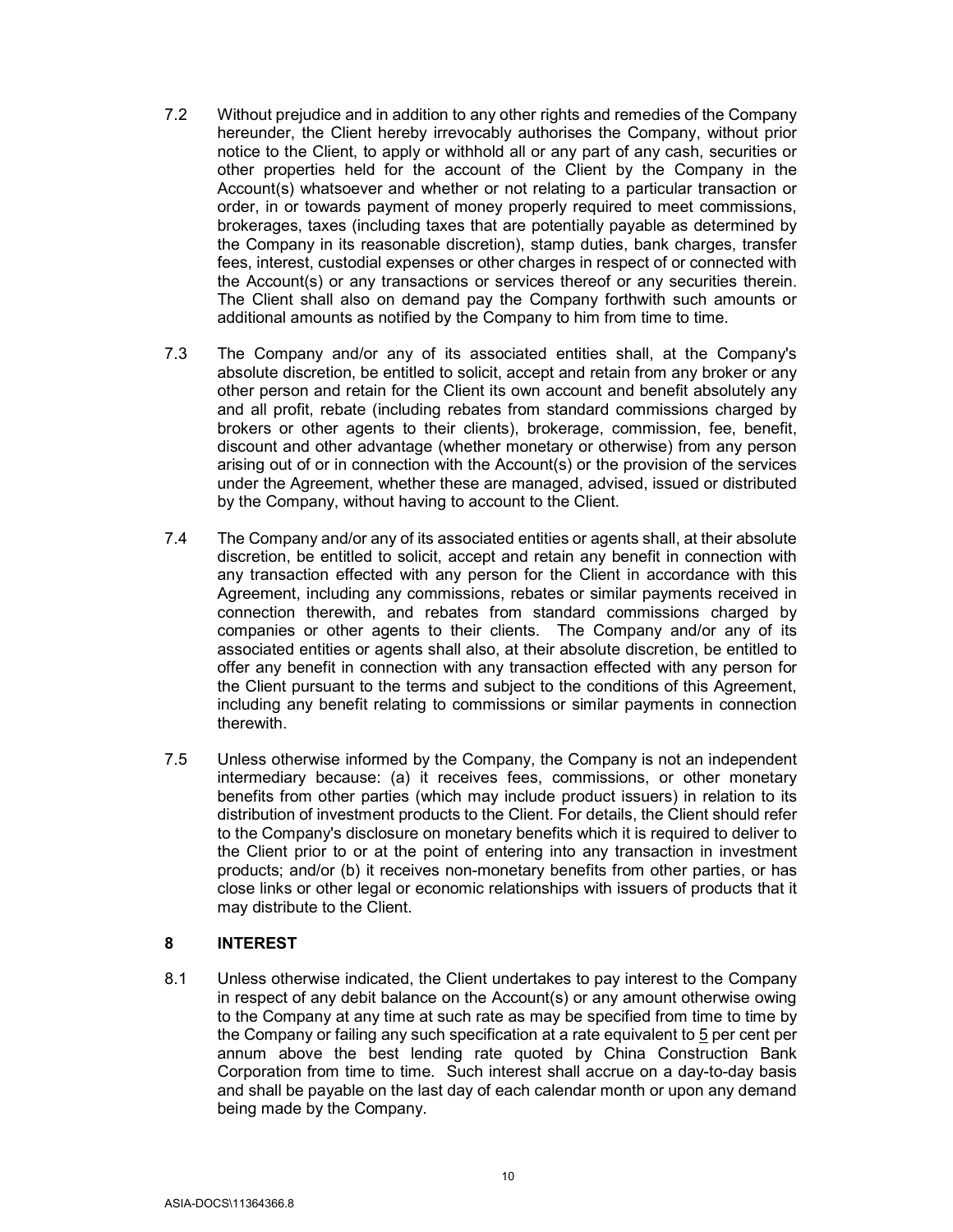- 7.2 Without prejudice and in addition to any other rights and remedies of the Company hereunder, the Client hereby irrevocably authorises the Company, without prior notice to the Client, to apply or withhold all or any part of any cash, securities or other properties held for the account of the Client by the Company in the Account(s) whatsoever and whether or not relating to a particular transaction or order, in or towards payment of money properly required to meet commissions, brokerages, taxes (including taxes that are potentially payable as determined by the Company in its reasonable discretion), stamp duties, bank charges, transfer fees, interest, custodial expenses or other charges in respect of or connected with the Account(s) or any transactions or services thereof or any securities therein. The Client shall also on demand pay the Company forthwith such amounts or additional amounts as notified by the Company to him from time to time.
- 7.3 The Company and/or any of its associated entities shall, at the Company's absolute discretion, be entitled to solicit, accept and retain from any broker or any other person and retain for the Client its own account and benefit absolutely any and all profit, rebate (including rebates from standard commissions charged by brokers or other agents to their clients), brokerage, commission, fee, benefit, discount and other advantage (whether monetary or otherwise) from any person arising out of or in connection with the Account(s) or the provision of the services under the Agreement, whether these are managed, advised, issued or distributed by the Company, without having to account to the Client.
- 7.4 The Company and/or any of its associated entities or agents shall, at their absolute discretion, be entitled to solicit, accept and retain any benefit in connection with any transaction effected with any person for the Client in accordance with this Agreement, including any commissions, rebates or similar payments received in connection therewith, and rebates from standard commissions charged by companies or other agents to their clients. The Company and/or any of its associated entities or agents shall also, at their absolute discretion, be entitled to offer any benefit in connection with any transaction effected with any person for the Client pursuant to the terms and subject to the conditions of this Agreement, including any benefit relating to commissions or similar payments in connection therewith.
- 7.5 Unless otherwise informed by the Company, the Company is not an independent intermediary because: (a) it receives fees, commissions, or other monetary benefits from other parties (which may include product issuers) in relation to its distribution of investment products to the Client. For details, the Client should refer to the Company's disclosure on monetary benefits which it is required to deliver to the Client prior to or at the point of entering into any transaction in investment products; and/or (b) it receives non-monetary benefits from other parties, or has close links or other legal or economic relationships with issuers of products that it may distribute to the Client.

#### 8 INTEREST

8.1 Unless otherwise indicated, the Client undertakes to pay interest to the Company in respect of any debit balance on the Account(s) or any amount otherwise owing to the Company at any time at such rate as may be specified from time to time by the Company or failing any such specification at a rate equivalent to 5 per cent per annum above the best lending rate quoted by China Construction Bank Corporation from time to time. Such interest shall accrue on a day-to-day basis and shall be payable on the last day of each calendar month or upon any demand being made by the Company.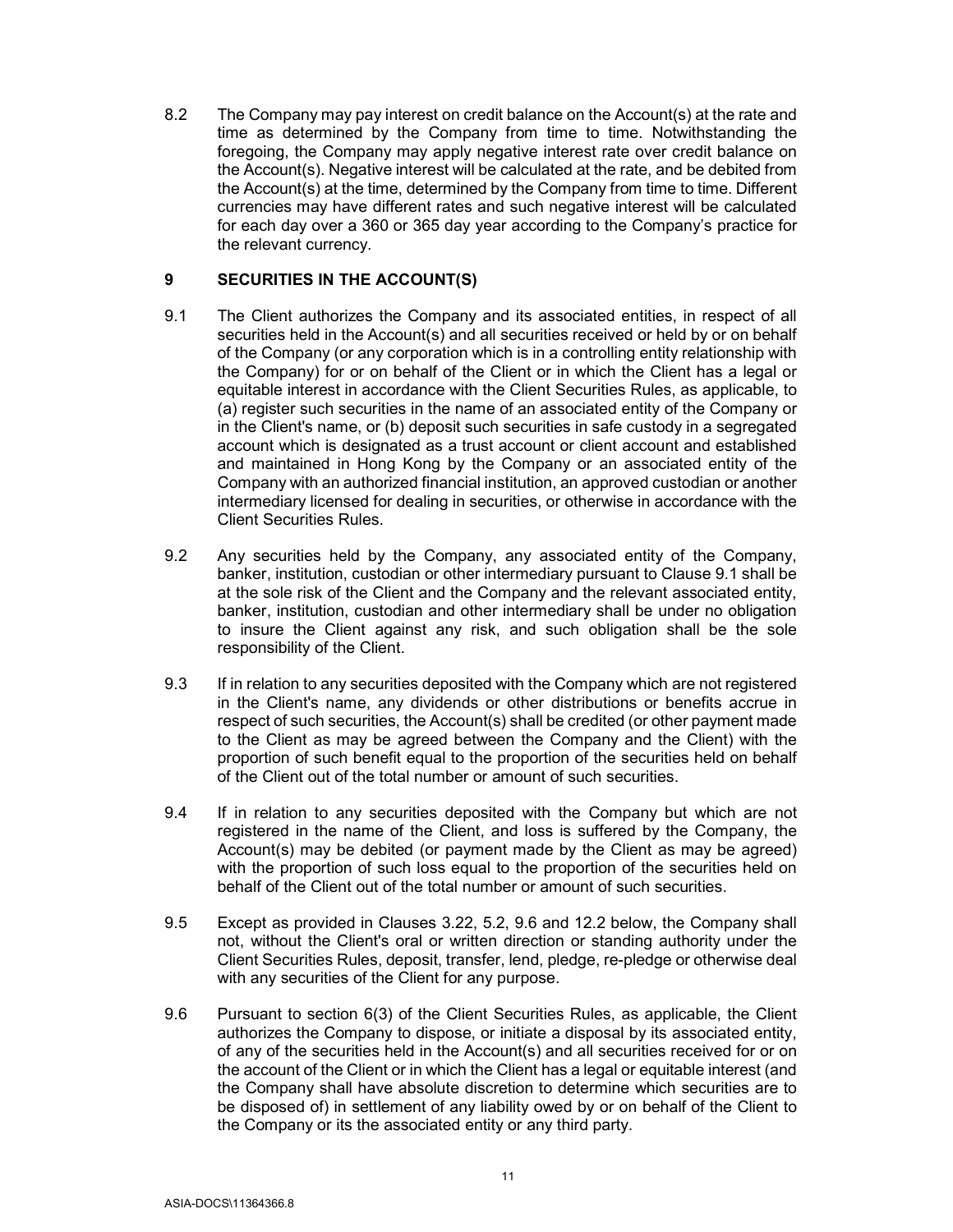8.2 The Company may pay interest on credit balance on the Account(s) at the rate and time as determined by the Company from time to time. Notwithstanding the foregoing, the Company may apply negative interest rate over credit balance on the Account(s). Negative interest will be calculated at the rate, and be debited from the Account(s) at the time, determined by the Company from time to time. Different currencies may have different rates and such negative interest will be calculated for each day over a 360 or 365 day year according to the Company's practice for the relevant currency.

# 9 SECURITIES IN THE ACCOUNT(S)

- 9.1 The Client authorizes the Company and its associated entities, in respect of all securities held in the Account(s) and all securities received or held by or on behalf of the Company (or any corporation which is in a controlling entity relationship with the Company) for or on behalf of the Client or in which the Client has a legal or equitable interest in accordance with the Client Securities Rules, as applicable, to (a) register such securities in the name of an associated entity of the Company or in the Client's name, or (b) deposit such securities in safe custody in a segregated account which is designated as a trust account or client account and established and maintained in Hong Kong by the Company or an associated entity of the Company with an authorized financial institution, an approved custodian or another intermediary licensed for dealing in securities, or otherwise in accordance with the Client Securities Rules.
- 9.2 Any securities held by the Company, any associated entity of the Company, banker, institution, custodian or other intermediary pursuant to Clause 9.1 shall be at the sole risk of the Client and the Company and the relevant associated entity, banker, institution, custodian and other intermediary shall be under no obligation to insure the Client against any risk, and such obligation shall be the sole responsibility of the Client.
- 9.3 If in relation to any securities deposited with the Company which are not registered in the Client's name, any dividends or other distributions or benefits accrue in respect of such securities, the Account(s) shall be credited (or other payment made to the Client as may be agreed between the Company and the Client) with the proportion of such benefit equal to the proportion of the securities held on behalf of the Client out of the total number or amount of such securities.
- 9.4 If in relation to any securities deposited with the Company but which are not registered in the name of the Client, and loss is suffered by the Company, the Account(s) may be debited (or payment made by the Client as may be agreed) with the proportion of such loss equal to the proportion of the securities held on behalf of the Client out of the total number or amount of such securities.
- 9.5 Except as provided in Clauses 3.22, 5.2, 9.6 and 12.2 below, the Company shall not, without the Client's oral or written direction or standing authority under the Client Securities Rules, deposit, transfer, lend, pledge, re-pledge or otherwise deal with any securities of the Client for any purpose.
- 9.6 Pursuant to section 6(3) of the Client Securities Rules, as applicable, the Client authorizes the Company to dispose, or initiate a disposal by its associated entity, of any of the securities held in the Account(s) and all securities received for or on the account of the Client or in which the Client has a legal or equitable interest (and the Company shall have absolute discretion to determine which securities are to be disposed of) in settlement of any liability owed by or on behalf of the Client to the Company or its the associated entity or any third party.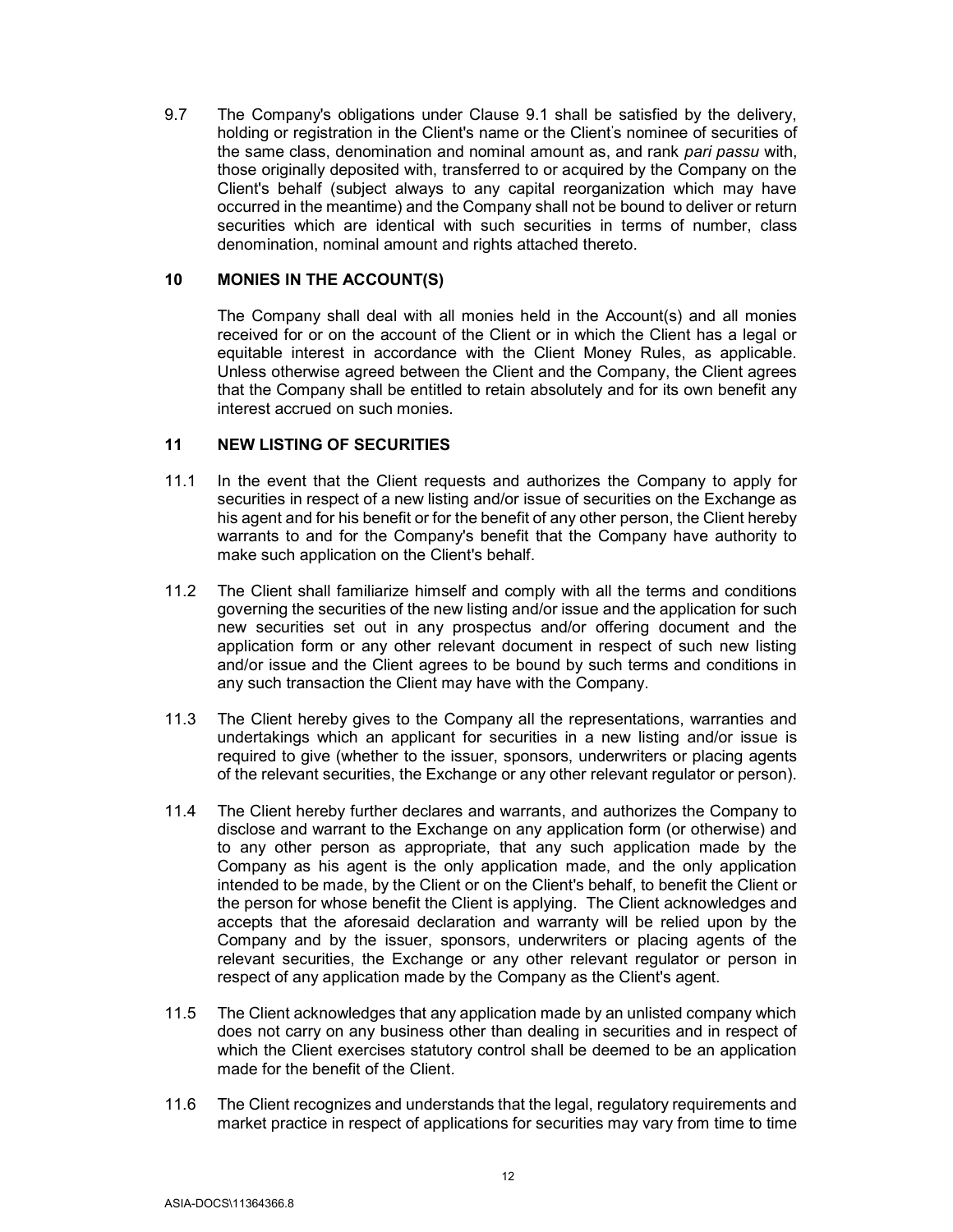9.7 The Company's obligations under Clause 9.1 shall be satisfied by the delivery, holding or registration in the Client's name or the Client's nominee of securities of the same class, denomination and nominal amount as, and rank pari passu with, those originally deposited with, transferred to or acquired by the Company on the Client's behalf (subject always to any capital reorganization which may have occurred in the meantime) and the Company shall not be bound to deliver or return securities which are identical with such securities in terms of number, class denomination, nominal amount and rights attached thereto.

#### 10 MONIES IN THE ACCOUNT(S)

The Company shall deal with all monies held in the Account(s) and all monies received for or on the account of the Client or in which the Client has a legal or equitable interest in accordance with the Client Money Rules, as applicable. Unless otherwise agreed between the Client and the Company, the Client agrees that the Company shall be entitled to retain absolutely and for its own benefit any interest accrued on such monies.

#### 11 NEW LISTING OF SECURITIES

- 11.1 In the event that the Client requests and authorizes the Company to apply for securities in respect of a new listing and/or issue of securities on the Exchange as his agent and for his benefit or for the benefit of any other person, the Client hereby warrants to and for the Company's benefit that the Company have authority to make such application on the Client's behalf.
- 11.2 The Client shall familiarize himself and comply with all the terms and conditions governing the securities of the new listing and/or issue and the application for such new securities set out in any prospectus and/or offering document and the application form or any other relevant document in respect of such new listing and/or issue and the Client agrees to be bound by such terms and conditions in any such transaction the Client may have with the Company.
- 11.3 The Client hereby gives to the Company all the representations, warranties and undertakings which an applicant for securities in a new listing and/or issue is required to give (whether to the issuer, sponsors, underwriters or placing agents of the relevant securities, the Exchange or any other relevant regulator or person).
- 11.4 The Client hereby further declares and warrants, and authorizes the Company to disclose and warrant to the Exchange on any application form (or otherwise) and to any other person as appropriate, that any such application made by the Company as his agent is the only application made, and the only application intended to be made, by the Client or on the Client's behalf, to benefit the Client or the person for whose benefit the Client is applying. The Client acknowledges and accepts that the aforesaid declaration and warranty will be relied upon by the Company and by the issuer, sponsors, underwriters or placing agents of the relevant securities, the Exchange or any other relevant regulator or person in respect of any application made by the Company as the Client's agent.
- 11.5 The Client acknowledges that any application made by an unlisted company which does not carry on any business other than dealing in securities and in respect of which the Client exercises statutory control shall be deemed to be an application made for the benefit of the Client.
- 11.6 The Client recognizes and understands that the legal, regulatory requirements and market practice in respect of applications for securities may vary from time to time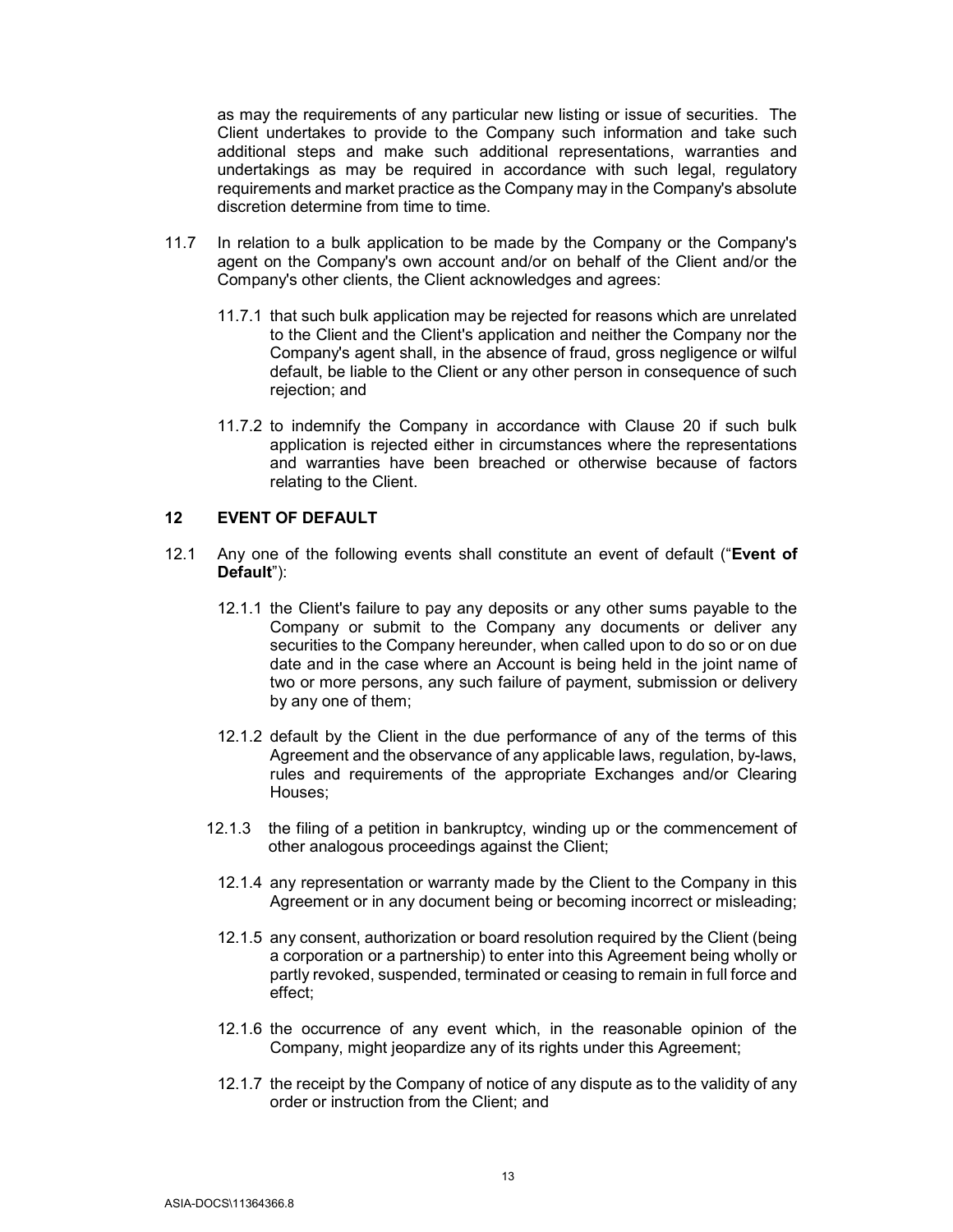as may the requirements of any particular new listing or issue of securities. The Client undertakes to provide to the Company such information and take such additional steps and make such additional representations, warranties and undertakings as may be required in accordance with such legal, regulatory requirements and market practice as the Company may in the Company's absolute discretion determine from time to time.

- 11.7 In relation to a bulk application to be made by the Company or the Company's agent on the Company's own account and/or on behalf of the Client and/or the Company's other clients, the Client acknowledges and agrees:
	- 11.7.1 that such bulk application may be rejected for reasons which are unrelated to the Client and the Client's application and neither the Company nor the Company's agent shall, in the absence of fraud, gross negligence or wilful default, be liable to the Client or any other person in consequence of such rejection; and
	- 11.7.2 to indemnify the Company in accordance with Clause 20 if such bulk application is rejected either in circumstances where the representations and warranties have been breached or otherwise because of factors relating to the Client.

# 12 EVENT OF DEFAULT

- 12.1 Any one of the following events shall constitute an event of default ("Event of Default"):
	- 12.1.1 the Client's failure to pay any deposits or any other sums payable to the Company or submit to the Company any documents or deliver any securities to the Company hereunder, when called upon to do so or on due date and in the case where an Account is being held in the joint name of two or more persons, any such failure of payment, submission or delivery by any one of them;
	- 12.1.2 default by the Client in the due performance of any of the terms of this Agreement and the observance of any applicable laws, regulation, by-laws, rules and requirements of the appropriate Exchanges and/or Clearing Houses;
	- 12.1.3 the filing of a petition in bankruptcy, winding up or the commencement of other analogous proceedings against the Client;
	- 12.1.4 any representation or warranty made by the Client to the Company in this Agreement or in any document being or becoming incorrect or misleading;
	- 12.1.5 any consent, authorization or board resolution required by the Client (being a corporation or a partnership) to enter into this Agreement being wholly or partly revoked, suspended, terminated or ceasing to remain in full force and effect;
	- 12.1.6 the occurrence of any event which, in the reasonable opinion of the Company, might jeopardize any of its rights under this Agreement;
	- 12.1.7 the receipt by the Company of notice of any dispute as to the validity of any order or instruction from the Client; and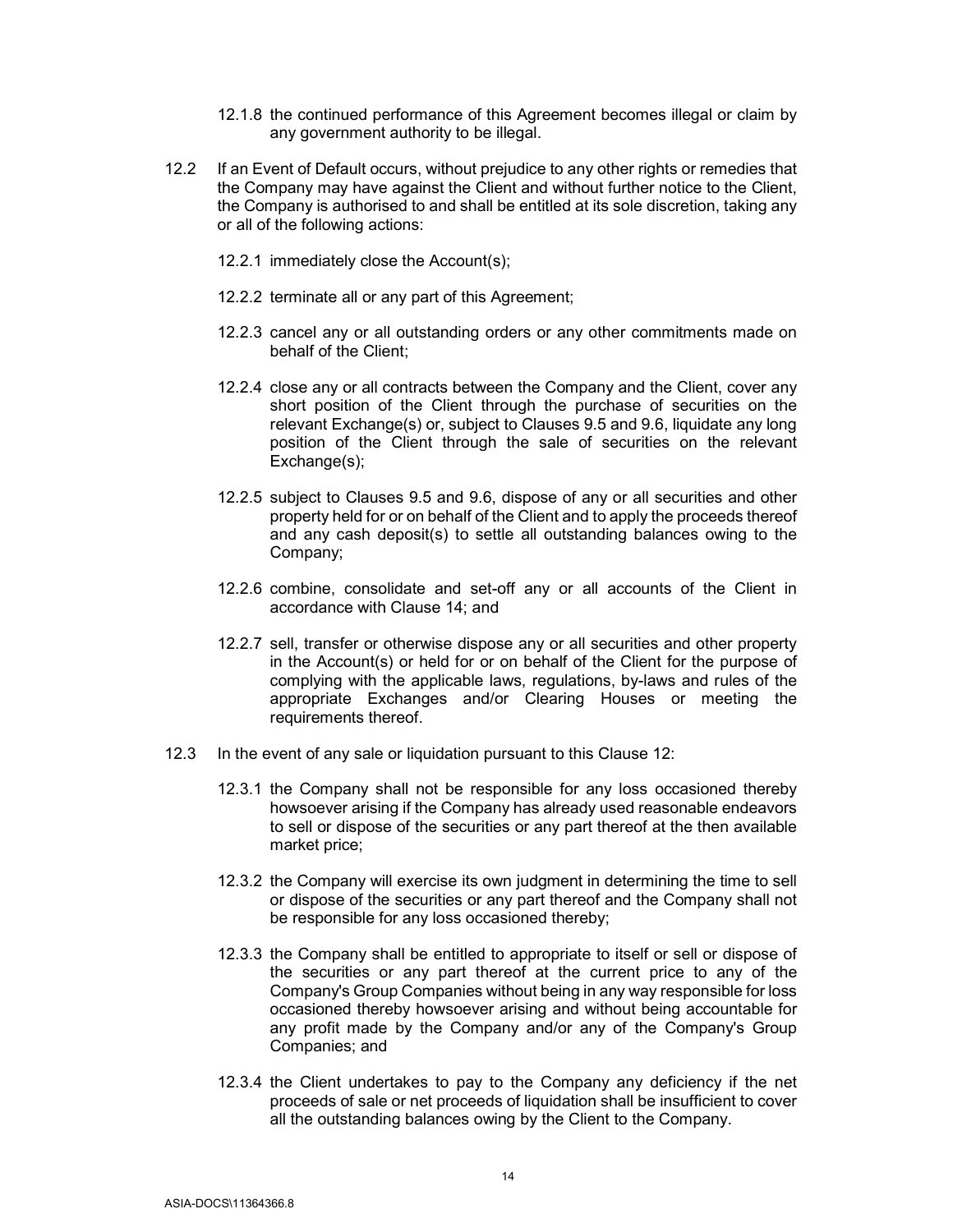- 12.1.8 the continued performance of this Agreement becomes illegal or claim by any government authority to be illegal.
- 12.2 If an Event of Default occurs, without prejudice to any other rights or remedies that the Company may have against the Client and without further notice to the Client, the Company is authorised to and shall be entitled at its sole discretion, taking any or all of the following actions:
	- 12.2.1 immediately close the Account(s);
	- 12.2.2 terminate all or any part of this Agreement;
	- 12.2.3 cancel any or all outstanding orders or any other commitments made on behalf of the Client;
	- 12.2.4 close any or all contracts between the Company and the Client, cover any short position of the Client through the purchase of securities on the relevant Exchange(s) or, subject to Clauses 9.5 and 9.6, liquidate any long position of the Client through the sale of securities on the relevant Exchange(s);
	- 12.2.5 subject to Clauses 9.5 and 9.6, dispose of any or all securities and other property held for or on behalf of the Client and to apply the proceeds thereof and any cash deposit(s) to settle all outstanding balances owing to the Company;
	- 12.2.6 combine, consolidate and set-off any or all accounts of the Client in accordance with Clause 14; and
	- 12.2.7 sell, transfer or otherwise dispose any or all securities and other property in the Account(s) or held for or on behalf of the Client for the purpose of complying with the applicable laws, regulations, by-laws and rules of the appropriate Exchanges and/or Clearing Houses or meeting the requirements thereof.
- 12.3 In the event of any sale or liquidation pursuant to this Clause 12:
	- 12.3.1 the Company shall not be responsible for any loss occasioned thereby howsoever arising if the Company has already used reasonable endeavors to sell or dispose of the securities or any part thereof at the then available market price;
	- 12.3.2 the Company will exercise its own judgment in determining the time to sell or dispose of the securities or any part thereof and the Company shall not be responsible for any loss occasioned thereby;
	- 12.3.3 the Company shall be entitled to appropriate to itself or sell or dispose of the securities or any part thereof at the current price to any of the Company's Group Companies without being in any way responsible for loss occasioned thereby howsoever arising and without being accountable for any profit made by the Company and/or any of the Company's Group Companies; and
	- 12.3.4 the Client undertakes to pay to the Company any deficiency if the net proceeds of sale or net proceeds of liquidation shall be insufficient to cover all the outstanding balances owing by the Client to the Company.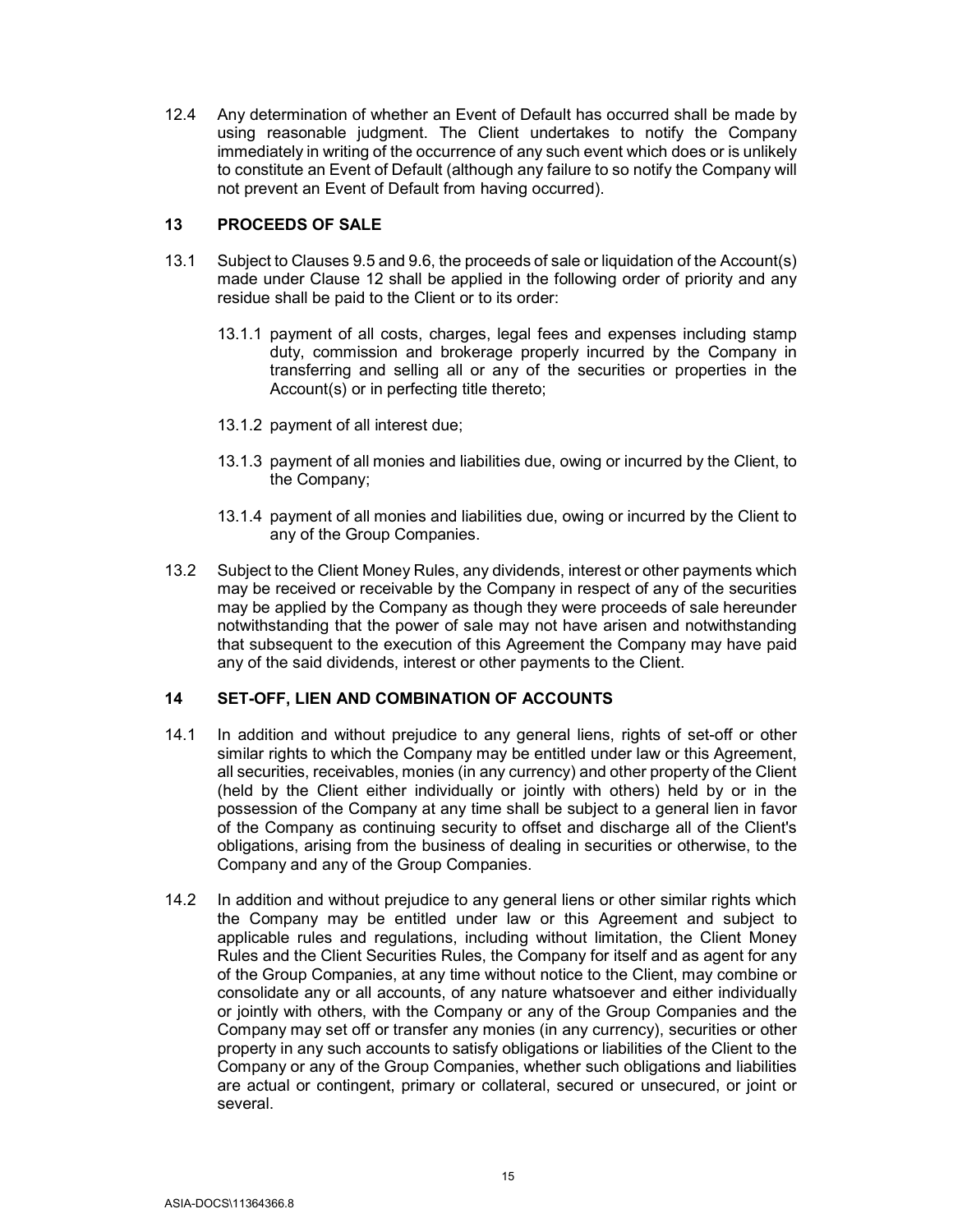12.4 Any determination of whether an Event of Default has occurred shall be made by using reasonable judgment. The Client undertakes to notify the Company immediately in writing of the occurrence of any such event which does or is unlikely to constitute an Event of Default (although any failure to so notify the Company will not prevent an Event of Default from having occurred).

### 13 PROCEEDS OF SALE

- 13.1 Subject to Clauses 9.5 and 9.6, the proceeds of sale or liquidation of the Account(s) made under Clause 12 shall be applied in the following order of priority and any residue shall be paid to the Client or to its order:
	- 13.1.1 payment of all costs, charges, legal fees and expenses including stamp duty, commission and brokerage properly incurred by the Company in transferring and selling all or any of the securities or properties in the Account(s) or in perfecting title thereto;
	- 13.1.2 payment of all interest due;
	- 13.1.3 payment of all monies and liabilities due, owing or incurred by the Client, to the Company;
	- 13.1.4 payment of all monies and liabilities due, owing or incurred by the Client to any of the Group Companies.
- 13.2 Subject to the Client Money Rules, any dividends, interest or other payments which may be received or receivable by the Company in respect of any of the securities may be applied by the Company as though they were proceeds of sale hereunder notwithstanding that the power of sale may not have arisen and notwithstanding that subsequent to the execution of this Agreement the Company may have paid any of the said dividends, interest or other payments to the Client.

# 14 SET-OFF, LIEN AND COMBINATION OF ACCOUNTS

- 14.1 In addition and without prejudice to any general liens, rights of set-off or other similar rights to which the Company may be entitled under law or this Agreement, all securities, receivables, monies (in any currency) and other property of the Client (held by the Client either individually or jointly with others) held by or in the possession of the Company at any time shall be subject to a general lien in favor of the Company as continuing security to offset and discharge all of the Client's obligations, arising from the business of dealing in securities or otherwise, to the Company and any of the Group Companies.
- 14.2 In addition and without prejudice to any general liens or other similar rights which the Company may be entitled under law or this Agreement and subject to applicable rules and regulations, including without limitation, the Client Money Rules and the Client Securities Rules, the Company for itself and as agent for any of the Group Companies, at any time without notice to the Client, may combine or consolidate any or all accounts, of any nature whatsoever and either individually or jointly with others, with the Company or any of the Group Companies and the Company may set off or transfer any monies (in any currency), securities or other property in any such accounts to satisfy obligations or liabilities of the Client to the Company or any of the Group Companies, whether such obligations and liabilities are actual or contingent, primary or collateral, secured or unsecured, or joint or several.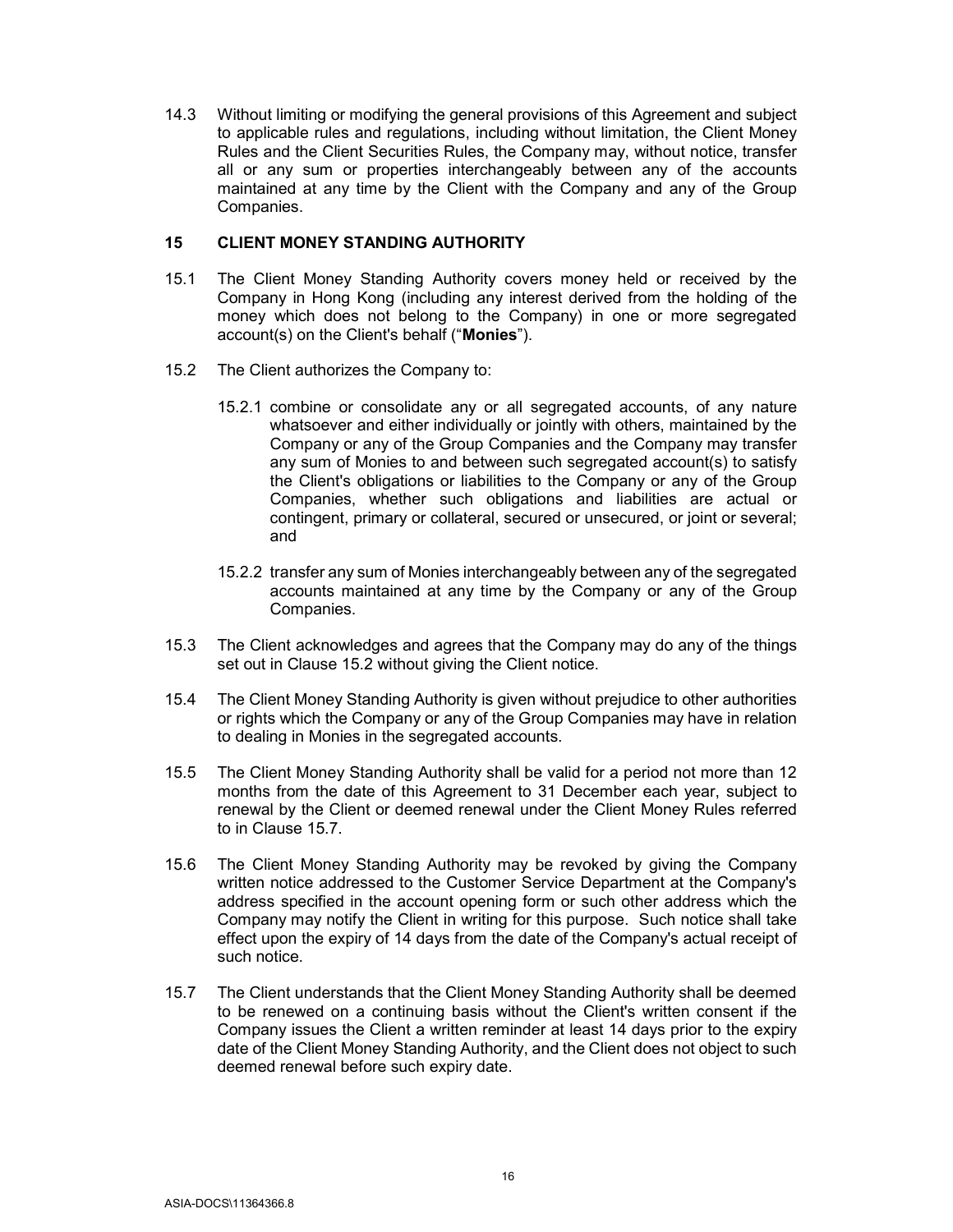14.3 Without limiting or modifying the general provisions of this Agreement and subject to applicable rules and regulations, including without limitation, the Client Money Rules and the Client Securities Rules, the Company may, without notice, transfer all or any sum or properties interchangeably between any of the accounts maintained at any time by the Client with the Company and any of the Group Companies.

#### 15 CLIENT MONEY STANDING AUTHORITY

- 15.1 The Client Money Standing Authority covers money held or received by the Company in Hong Kong (including any interest derived from the holding of the money which does not belong to the Company) in one or more segregated account(s) on the Client's behalf ("Monies").
- 15.2 The Client authorizes the Company to:
	- 15.2.1 combine or consolidate any or all segregated accounts, of any nature whatsoever and either individually or jointly with others, maintained by the Company or any of the Group Companies and the Company may transfer any sum of Monies to and between such segregated account(s) to satisfy the Client's obligations or liabilities to the Company or any of the Group Companies, whether such obligations and liabilities are actual or contingent, primary or collateral, secured or unsecured, or joint or several; and
	- 15.2.2 transfer any sum of Monies interchangeably between any of the segregated accounts maintained at any time by the Company or any of the Group Companies.
- 15.3 The Client acknowledges and agrees that the Company may do any of the things set out in Clause 15.2 without giving the Client notice.
- 15.4 The Client Money Standing Authority is given without prejudice to other authorities or rights which the Company or any of the Group Companies may have in relation to dealing in Monies in the segregated accounts.
- 15.5 The Client Money Standing Authority shall be valid for a period not more than 12 months from the date of this Agreement to 31 December each year, subject to renewal by the Client or deemed renewal under the Client Money Rules referred to in Clause 15.7.
- 15.6 The Client Money Standing Authority may be revoked by giving the Company written notice addressed to the Customer Service Department at the Company's address specified in the account opening form or such other address which the Company may notify the Client in writing for this purpose. Such notice shall take effect upon the expiry of 14 days from the date of the Company's actual receipt of such notice.
- 15.7 The Client understands that the Client Money Standing Authority shall be deemed to be renewed on a continuing basis without the Client's written consent if the Company issues the Client a written reminder at least 14 days prior to the expiry date of the Client Money Standing Authority, and the Client does not object to such deemed renewal before such expiry date.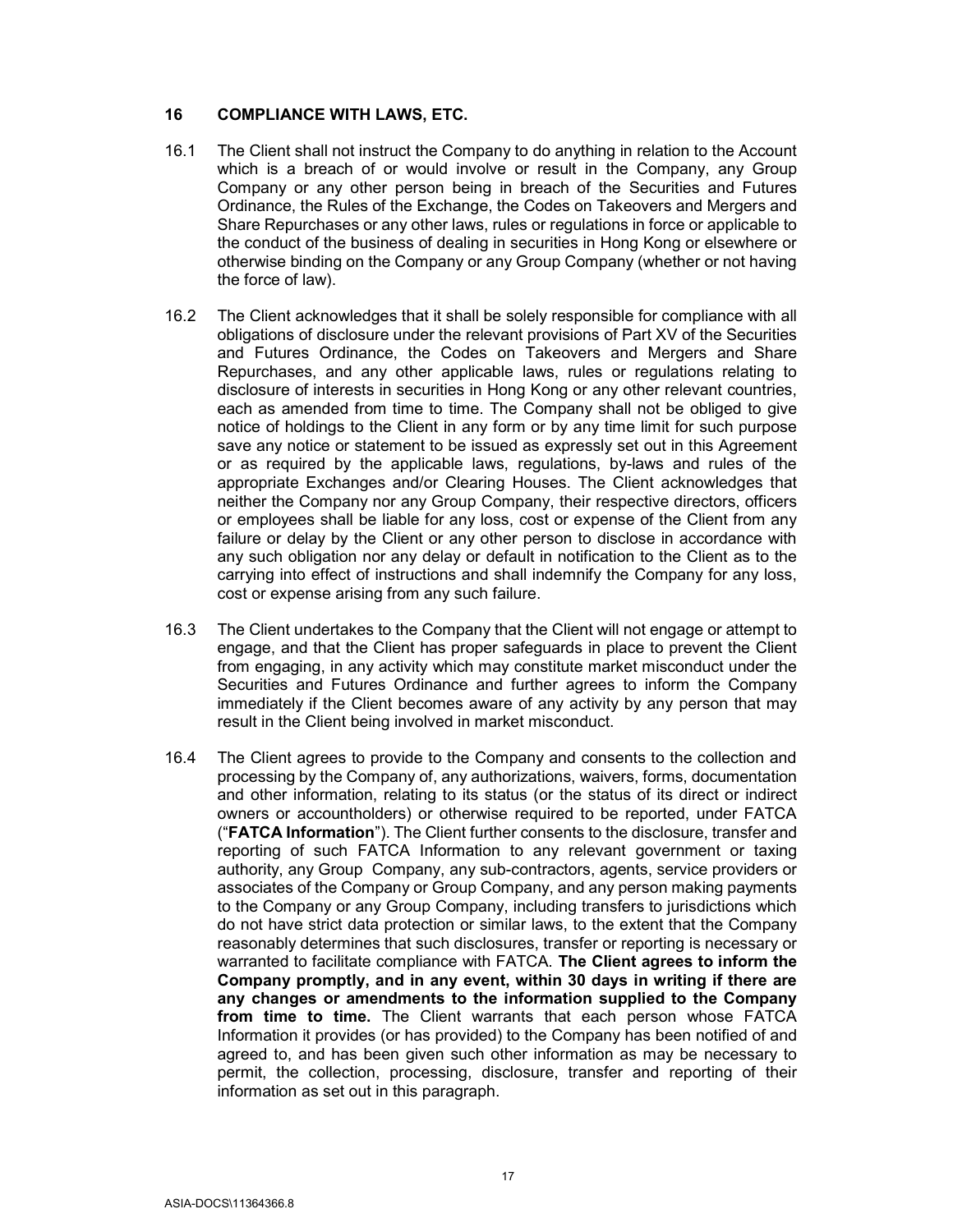#### 16 COMPLIANCE WITH LAWS, ETC.

- 16.1 The Client shall not instruct the Company to do anything in relation to the Account which is a breach of or would involve or result in the Company, any Group Company or any other person being in breach of the Securities and Futures Ordinance, the Rules of the Exchange, the Codes on Takeovers and Mergers and Share Repurchases or any other laws, rules or regulations in force or applicable to the conduct of the business of dealing in securities in Hong Kong or elsewhere or otherwise binding on the Company or any Group Company (whether or not having the force of law).
- 16.2 The Client acknowledges that it shall be solely responsible for compliance with all obligations of disclosure under the relevant provisions of Part XV of the Securities and Futures Ordinance, the Codes on Takeovers and Mergers and Share Repurchases, and any other applicable laws, rules or regulations relating to disclosure of interests in securities in Hong Kong or any other relevant countries, each as amended from time to time. The Company shall not be obliged to give notice of holdings to the Client in any form or by any time limit for such purpose save any notice or statement to be issued as expressly set out in this Agreement or as required by the applicable laws, regulations, by-laws and rules of the appropriate Exchanges and/or Clearing Houses. The Client acknowledges that neither the Company nor any Group Company, their respective directors, officers or employees shall be liable for any loss, cost or expense of the Client from any failure or delay by the Client or any other person to disclose in accordance with any such obligation nor any delay or default in notification to the Client as to the carrying into effect of instructions and shall indemnify the Company for any loss, cost or expense arising from any such failure.
- 16.3 The Client undertakes to the Company that the Client will not engage or attempt to engage, and that the Client has proper safeguards in place to prevent the Client from engaging, in any activity which may constitute market misconduct under the Securities and Futures Ordinance and further agrees to inform the Company immediately if the Client becomes aware of any activity by any person that may result in the Client being involved in market misconduct.
- 16.4 The Client agrees to provide to the Company and consents to the collection and processing by the Company of, any authorizations, waivers, forms, documentation and other information, relating to its status (or the status of its direct or indirect owners or accountholders) or otherwise required to be reported, under FATCA ("FATCA Information"). The Client further consents to the disclosure, transfer and reporting of such FATCA Information to any relevant government or taxing authority, any Group Company, any sub-contractors, agents, service providers or associates of the Company or Group Company, and any person making payments to the Company or any Group Company, including transfers to jurisdictions which do not have strict data protection or similar laws, to the extent that the Company reasonably determines that such disclosures, transfer or reporting is necessary or warranted to facilitate compliance with FATCA. The Client agrees to inform the Company promptly, and in any event, within 30 days in writing if there are any changes or amendments to the information supplied to the Company from time to time. The Client warrants that each person whose FATCA Information it provides (or has provided) to the Company has been notified of and agreed to, and has been given such other information as may be necessary to permit, the collection, processing, disclosure, transfer and reporting of their information as set out in this paragraph.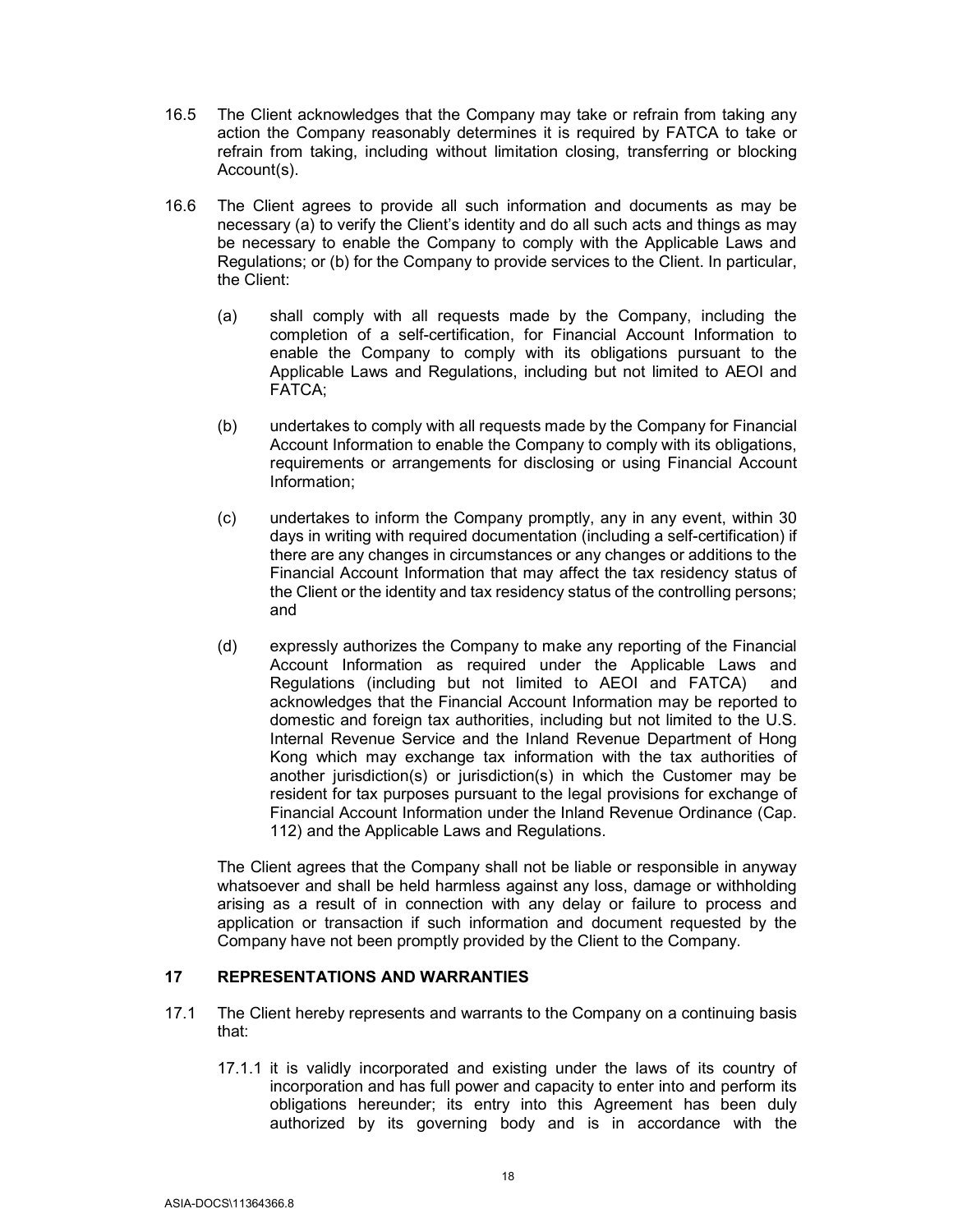- 16.5 The Client acknowledges that the Company may take or refrain from taking any action the Company reasonably determines it is required by FATCA to take or refrain from taking, including without limitation closing, transferring or blocking Account(s).
- 16.6 The Client agrees to provide all such information and documents as may be necessary (a) to verify the Client's identity and do all such acts and things as may be necessary to enable the Company to comply with the Applicable Laws and Regulations; or (b) for the Company to provide services to the Client. In particular, the Client:
	- (a) shall comply with all requests made by the Company, including the completion of a self-certification, for Financial Account Information to enable the Company to comply with its obligations pursuant to the Applicable Laws and Regulations, including but not limited to AEOI and FATCA;
	- (b) undertakes to comply with all requests made by the Company for Financial Account Information to enable the Company to comply with its obligations, requirements or arrangements for disclosing or using Financial Account Information;
	- (c) undertakes to inform the Company promptly, any in any event, within 30 days in writing with required documentation (including a self-certification) if there are any changes in circumstances or any changes or additions to the Financial Account Information that may affect the tax residency status of the Client or the identity and tax residency status of the controlling persons; and
	- (d) expressly authorizes the Company to make any reporting of the Financial Account Information as required under the Applicable Laws and Regulations (including but not limited to AEOI and FATCA) and acknowledges that the Financial Account Information may be reported to domestic and foreign tax authorities, including but not limited to the U.S. Internal Revenue Service and the Inland Revenue Department of Hong Kong which may exchange tax information with the tax authorities of another jurisdiction(s) or jurisdiction(s) in which the Customer may be resident for tax purposes pursuant to the legal provisions for exchange of Financial Account Information under the Inland Revenue Ordinance (Cap. 112) and the Applicable Laws and Regulations.

The Client agrees that the Company shall not be liable or responsible in anyway whatsoever and shall be held harmless against any loss, damage or withholding arising as a result of in connection with any delay or failure to process and application or transaction if such information and document requested by the Company have not been promptly provided by the Client to the Company.

# 17 REPRESENTATIONS AND WARRANTIES

- 17.1 The Client hereby represents and warrants to the Company on a continuing basis that:
	- 17.1.1 it is validly incorporated and existing under the laws of its country of incorporation and has full power and capacity to enter into and perform its obligations hereunder; its entry into this Agreement has been duly authorized by its governing body and is in accordance with the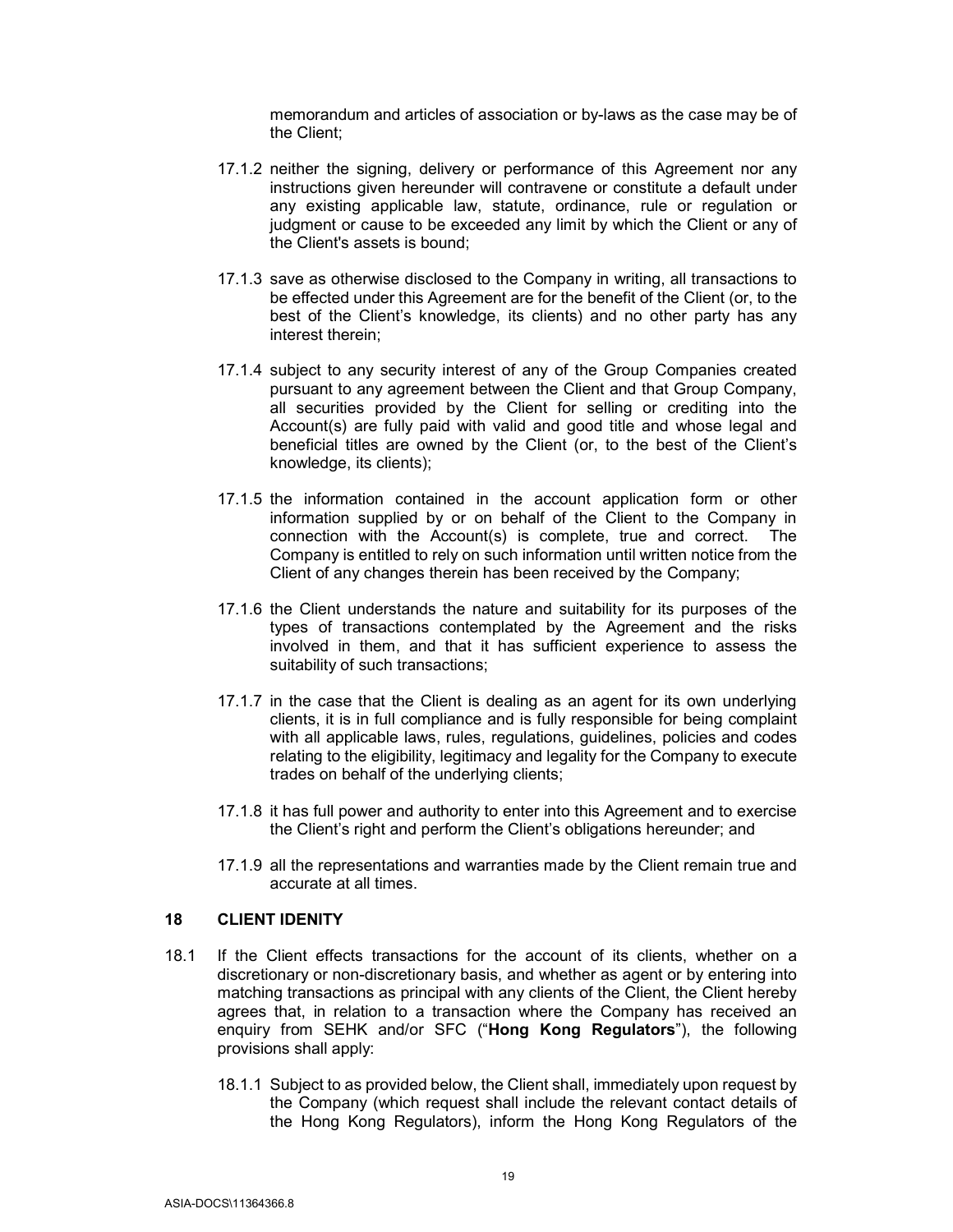memorandum and articles of association or by-laws as the case may be of the Client;

- 17.1.2 neither the signing, delivery or performance of this Agreement nor any instructions given hereunder will contravene or constitute a default under any existing applicable law, statute, ordinance, rule or regulation or judgment or cause to be exceeded any limit by which the Client or any of the Client's assets is bound;
- 17.1.3 save as otherwise disclosed to the Company in writing, all transactions to be effected under this Agreement are for the benefit of the Client (or, to the best of the Client's knowledge, its clients) and no other party has any interest therein;
- 17.1.4 subject to any security interest of any of the Group Companies created pursuant to any agreement between the Client and that Group Company, all securities provided by the Client for selling or crediting into the Account(s) are fully paid with valid and good title and whose legal and beneficial titles are owned by the Client (or, to the best of the Client's knowledge, its clients);
- 17.1.5 the information contained in the account application form or other information supplied by or on behalf of the Client to the Company in connection with the Account(s) is complete, true and correct. The Company is entitled to rely on such information until written notice from the Client of any changes therein has been received by the Company;
- 17.1.6 the Client understands the nature and suitability for its purposes of the types of transactions contemplated by the Agreement and the risks involved in them, and that it has sufficient experience to assess the suitability of such transactions;
- 17.1.7 in the case that the Client is dealing as an agent for its own underlying clients, it is in full compliance and is fully responsible for being complaint with all applicable laws, rules, regulations, guidelines, policies and codes relating to the eligibility, legitimacy and legality for the Company to execute trades on behalf of the underlying clients;
- 17.1.8 it has full power and authority to enter into this Agreement and to exercise the Client's right and perform the Client's obligations hereunder; and
- 17.1.9 all the representations and warranties made by the Client remain true and accurate at all times.

### 18 CLIENT IDENITY

- 18.1 If the Client effects transactions for the account of its clients, whether on a discretionary or non-discretionary basis, and whether as agent or by entering into matching transactions as principal with any clients of the Client, the Client hereby agrees that, in relation to a transaction where the Company has received an enquiry from SEHK and/or SFC ("Hong Kong Regulators"), the following provisions shall apply:
	- 18.1.1 Subject to as provided below, the Client shall, immediately upon request by the Company (which request shall include the relevant contact details of the Hong Kong Regulators), inform the Hong Kong Regulators of the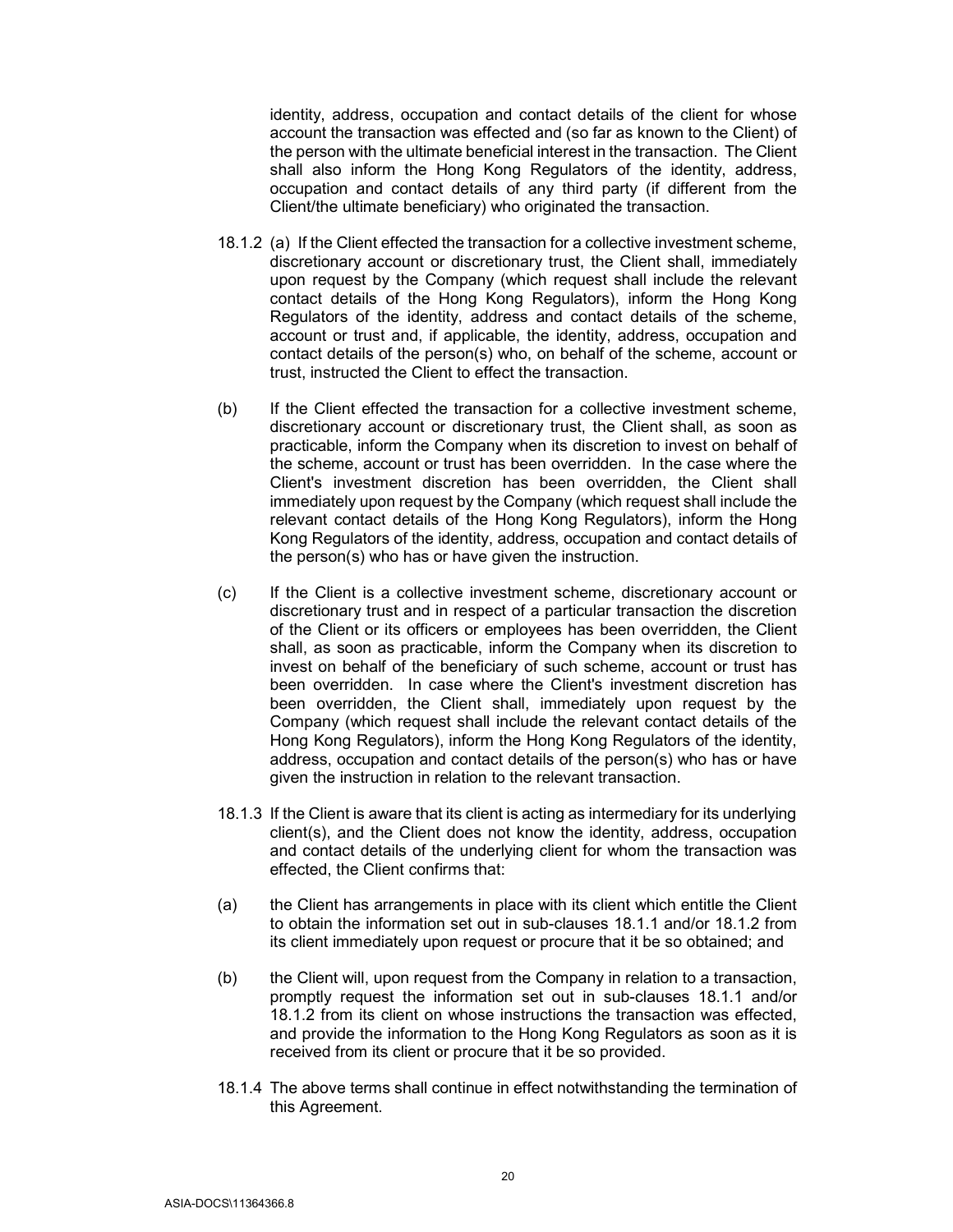identity, address, occupation and contact details of the client for whose account the transaction was effected and (so far as known to the Client) of the person with the ultimate beneficial interest in the transaction. The Client shall also inform the Hong Kong Regulators of the identity, address, occupation and contact details of any third party (if different from the Client/the ultimate beneficiary) who originated the transaction.

- 18.1.2 (a) If the Client effected the transaction for a collective investment scheme, discretionary account or discretionary trust, the Client shall, immediately upon request by the Company (which request shall include the relevant contact details of the Hong Kong Regulators), inform the Hong Kong Regulators of the identity, address and contact details of the scheme, account or trust and, if applicable, the identity, address, occupation and contact details of the person(s) who, on behalf of the scheme, account or trust, instructed the Client to effect the transaction.
- (b) If the Client effected the transaction for a collective investment scheme, discretionary account or discretionary trust, the Client shall, as soon as practicable, inform the Company when its discretion to invest on behalf of the scheme, account or trust has been overridden. In the case where the Client's investment discretion has been overridden, the Client shall immediately upon request by the Company (which request shall include the relevant contact details of the Hong Kong Regulators), inform the Hong Kong Regulators of the identity, address, occupation and contact details of the person(s) who has or have given the instruction.
- (c) If the Client is a collective investment scheme, discretionary account or discretionary trust and in respect of a particular transaction the discretion of the Client or its officers or employees has been overridden, the Client shall, as soon as practicable, inform the Company when its discretion to invest on behalf of the beneficiary of such scheme, account or trust has been overridden. In case where the Client's investment discretion has been overridden, the Client shall, immediately upon request by the Company (which request shall include the relevant contact details of the Hong Kong Regulators), inform the Hong Kong Regulators of the identity, address, occupation and contact details of the person(s) who has or have given the instruction in relation to the relevant transaction.
- 18.1.3 If the Client is aware that its client is acting as intermediary for its underlying client(s), and the Client does not know the identity, address, occupation and contact details of the underlying client for whom the transaction was effected, the Client confirms that:
- (a) the Client has arrangements in place with its client which entitle the Client to obtain the information set out in sub-clauses 18.1.1 and/or 18.1.2 from its client immediately upon request or procure that it be so obtained; and
- (b) the Client will, upon request from the Company in relation to a transaction, promptly request the information set out in sub-clauses 18.1.1 and/or 18.1.2 from its client on whose instructions the transaction was effected, and provide the information to the Hong Kong Regulators as soon as it is received from its client or procure that it be so provided.
- 18.1.4 The above terms shall continue in effect notwithstanding the termination of this Agreement.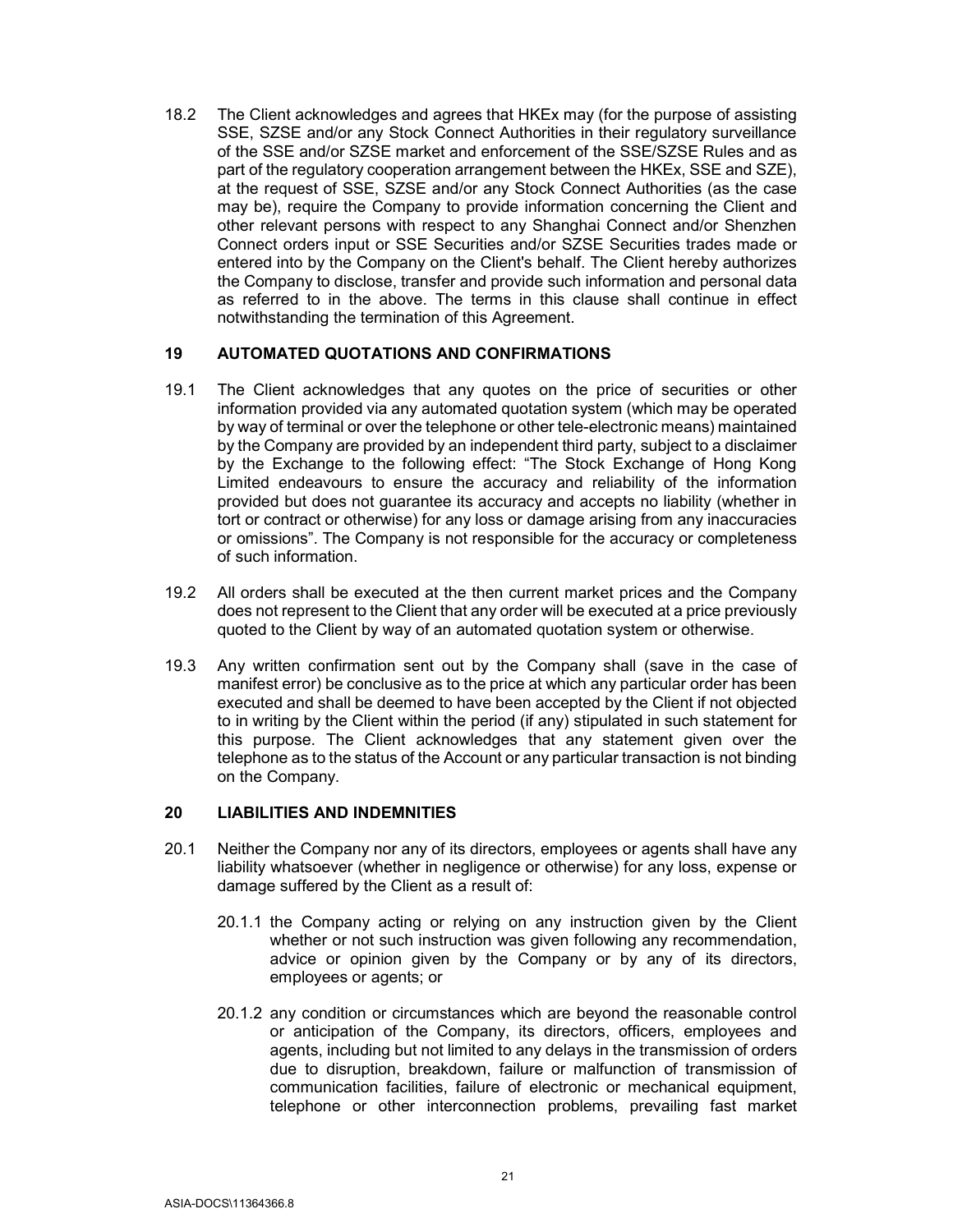18.2 The Client acknowledges and agrees that HKEx may (for the purpose of assisting SSE, SZSE and/or any Stock Connect Authorities in their regulatory surveillance of the SSE and/or SZSE market and enforcement of the SSE/SZSE Rules and as part of the regulatory cooperation arrangement between the HKEx, SSE and SZE), at the request of SSE, SZSE and/or any Stock Connect Authorities (as the case may be), require the Company to provide information concerning the Client and other relevant persons with respect to any Shanghai Connect and/or Shenzhen Connect orders input or SSE Securities and/or SZSE Securities trades made or entered into by the Company on the Client's behalf. The Client hereby authorizes the Company to disclose, transfer and provide such information and personal data as referred to in the above. The terms in this clause shall continue in effect notwithstanding the termination of this Agreement.

# 19 AUTOMATED QUOTATIONS AND CONFIRMATIONS

- 19.1 The Client acknowledges that any quotes on the price of securities or other information provided via any automated quotation system (which may be operated by way of terminal or over the telephone or other tele-electronic means) maintained by the Company are provided by an independent third party, subject to a disclaimer by the Exchange to the following effect: "The Stock Exchange of Hong Kong Limited endeavours to ensure the accuracy and reliability of the information provided but does not guarantee its accuracy and accepts no liability (whether in tort or contract or otherwise) for any loss or damage arising from any inaccuracies or omissions". The Company is not responsible for the accuracy or completeness of such information.
- 19.2 All orders shall be executed at the then current market prices and the Company does not represent to the Client that any order will be executed at a price previously quoted to the Client by way of an automated quotation system or otherwise.
- 19.3 Any written confirmation sent out by the Company shall (save in the case of manifest error) be conclusive as to the price at which any particular order has been executed and shall be deemed to have been accepted by the Client if not objected to in writing by the Client within the period (if any) stipulated in such statement for this purpose. The Client acknowledges that any statement given over the telephone as to the status of the Account or any particular transaction is not binding on the Company.

#### 20 LIABILITIES AND INDEMNITIES

- 20.1 Neither the Company nor any of its directors, employees or agents shall have any liability whatsoever (whether in negligence or otherwise) for any loss, expense or damage suffered by the Client as a result of:
	- 20.1.1 the Company acting or relying on any instruction given by the Client whether or not such instruction was given following any recommendation, advice or opinion given by the Company or by any of its directors, employees or agents; or
	- 20.1.2 any condition or circumstances which are beyond the reasonable control or anticipation of the Company, its directors, officers, employees and agents, including but not limited to any delays in the transmission of orders due to disruption, breakdown, failure or malfunction of transmission of communication facilities, failure of electronic or mechanical equipment, telephone or other interconnection problems, prevailing fast market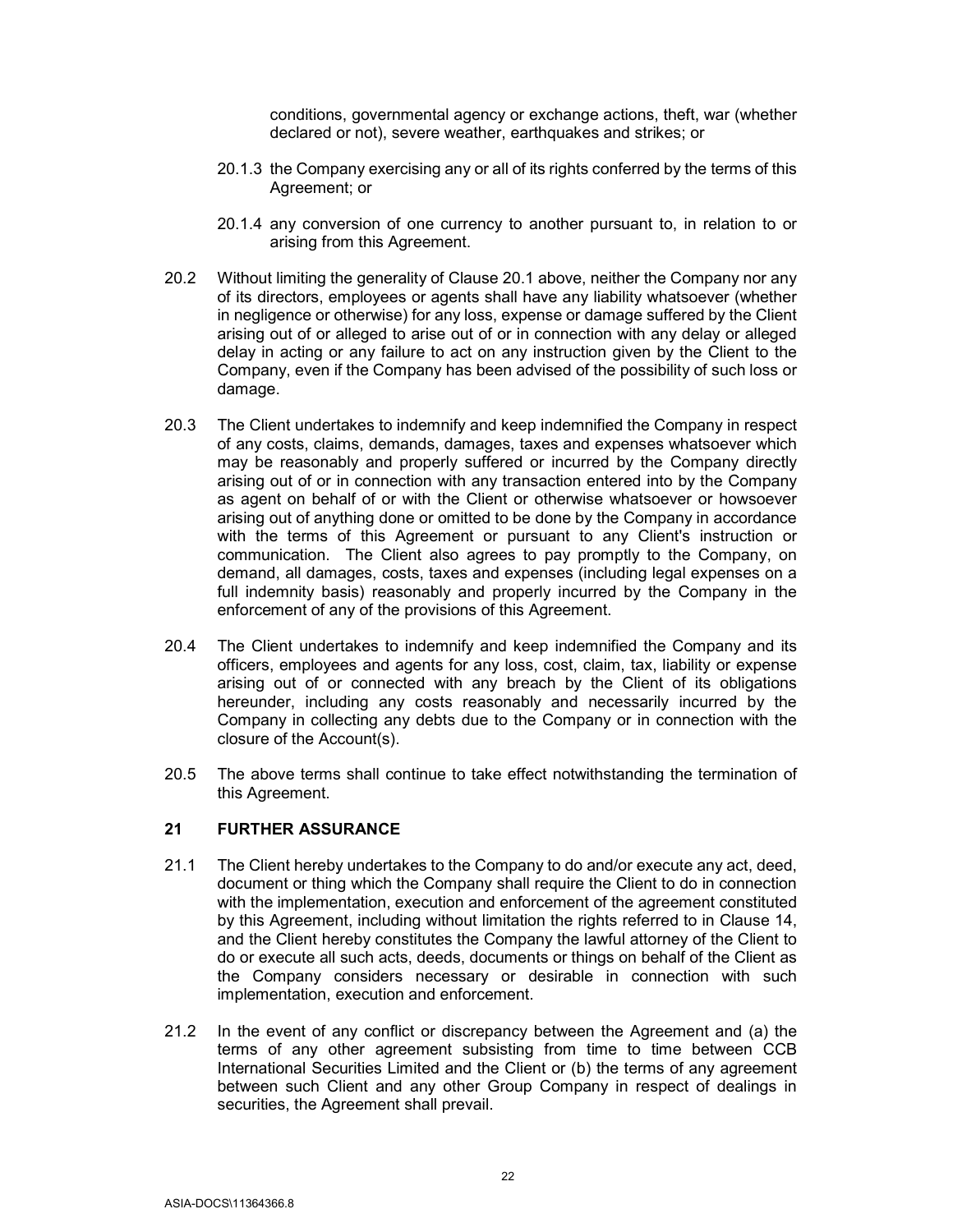conditions, governmental agency or exchange actions, theft, war (whether declared or not), severe weather, earthquakes and strikes; or

- 20.1.3 the Company exercising any or all of its rights conferred by the terms of this Agreement; or
- 20.1.4 any conversion of one currency to another pursuant to, in relation to or arising from this Agreement.
- 20.2 Without limiting the generality of Clause 20.1 above, neither the Company nor any of its directors, employees or agents shall have any liability whatsoever (whether in negligence or otherwise) for any loss, expense or damage suffered by the Client arising out of or alleged to arise out of or in connection with any delay or alleged delay in acting or any failure to act on any instruction given by the Client to the Company, even if the Company has been advised of the possibility of such loss or damage.
- 20.3 The Client undertakes to indemnify and keep indemnified the Company in respect of any costs, claims, demands, damages, taxes and expenses whatsoever which may be reasonably and properly suffered or incurred by the Company directly arising out of or in connection with any transaction entered into by the Company as agent on behalf of or with the Client or otherwise whatsoever or howsoever arising out of anything done or omitted to be done by the Company in accordance with the terms of this Agreement or pursuant to any Client's instruction or communication. The Client also agrees to pay promptly to the Company, on demand, all damages, costs, taxes and expenses (including legal expenses on a full indemnity basis) reasonably and properly incurred by the Company in the enforcement of any of the provisions of this Agreement.
- 20.4 The Client undertakes to indemnify and keep indemnified the Company and its officers, employees and agents for any loss, cost, claim, tax, liability or expense arising out of or connected with any breach by the Client of its obligations hereunder, including any costs reasonably and necessarily incurred by the Company in collecting any debts due to the Company or in connection with the closure of the Account(s).
- 20.5 The above terms shall continue to take effect notwithstanding the termination of this Agreement.

#### 21 FURTHER ASSURANCE

- 21.1 The Client hereby undertakes to the Company to do and/or execute any act, deed, document or thing which the Company shall require the Client to do in connection with the implementation, execution and enforcement of the agreement constituted by this Agreement, including without limitation the rights referred to in Clause 14, and the Client hereby constitutes the Company the lawful attorney of the Client to do or execute all such acts, deeds, documents or things on behalf of the Client as the Company considers necessary or desirable in connection with such implementation, execution and enforcement.
- 21.2 In the event of any conflict or discrepancy between the Agreement and (a) the terms of any other agreement subsisting from time to time between CCB International Securities Limited and the Client or (b) the terms of any agreement between such Client and any other Group Company in respect of dealings in securities, the Agreement shall prevail.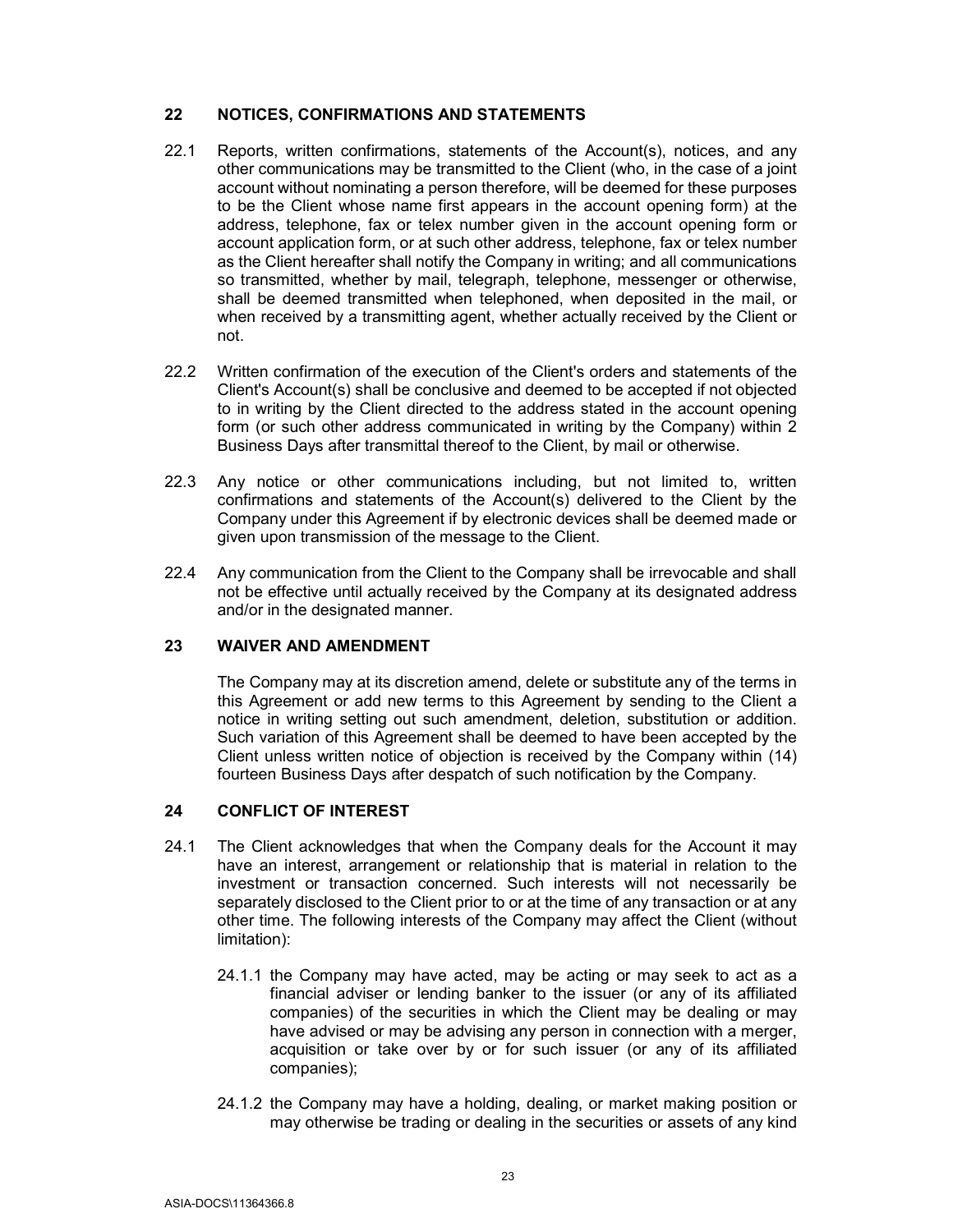# 22 NOTICES, CONFIRMATIONS AND STATEMENTS

- 22.1 Reports, written confirmations, statements of the Account(s), notices, and any other communications may be transmitted to the Client (who, in the case of a joint account without nominating a person therefore, will be deemed for these purposes to be the Client whose name first appears in the account opening form) at the address, telephone, fax or telex number given in the account opening form or account application form, or at such other address, telephone, fax or telex number as the Client hereafter shall notify the Company in writing; and all communications so transmitted, whether by mail, telegraph, telephone, messenger or otherwise, shall be deemed transmitted when telephoned, when deposited in the mail, or when received by a transmitting agent, whether actually received by the Client or not.
- 22.2 Written confirmation of the execution of the Client's orders and statements of the Client's Account(s) shall be conclusive and deemed to be accepted if not objected to in writing by the Client directed to the address stated in the account opening form (or such other address communicated in writing by the Company) within 2 Business Days after transmittal thereof to the Client, by mail or otherwise.
- 22.3 Any notice or other communications including, but not limited to, written confirmations and statements of the Account(s) delivered to the Client by the Company under this Agreement if by electronic devices shall be deemed made or given upon transmission of the message to the Client.
- 22.4 Any communication from the Client to the Company shall be irrevocable and shall not be effective until actually received by the Company at its designated address and/or in the designated manner.

# 23 WAIVER AND AMENDMENT

The Company may at its discretion amend, delete or substitute any of the terms in this Agreement or add new terms to this Agreement by sending to the Client a notice in writing setting out such amendment, deletion, substitution or addition. Such variation of this Agreement shall be deemed to have been accepted by the Client unless written notice of objection is received by the Company within (14) fourteen Business Days after despatch of such notification by the Company.

# 24 CONFLICT OF INTEREST

- 24.1 The Client acknowledges that when the Company deals for the Account it may have an interest, arrangement or relationship that is material in relation to the investment or transaction concerned. Such interests will not necessarily be separately disclosed to the Client prior to or at the time of any transaction or at any other time. The following interests of the Company may affect the Client (without limitation):
	- 24.1.1 the Company may have acted, may be acting or may seek to act as a financial adviser or lending banker to the issuer (or any of its affiliated companies) of the securities in which the Client may be dealing or may have advised or may be advising any person in connection with a merger, acquisition or take over by or for such issuer (or any of its affiliated companies);
	- 24.1.2 the Company may have a holding, dealing, or market making position or may otherwise be trading or dealing in the securities or assets of any kind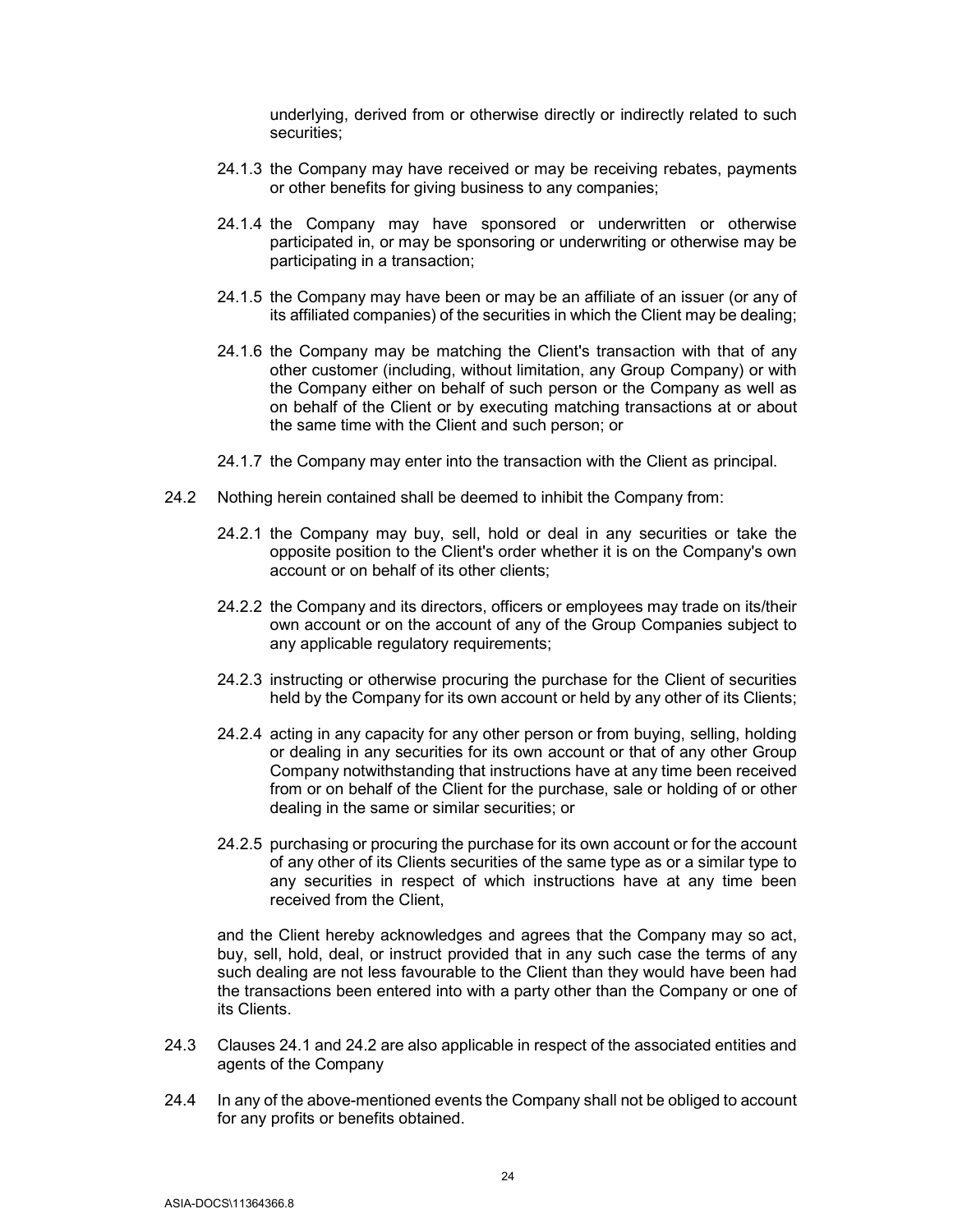underlying, derived from or otherwise directly or indirectly related to such securities;

- 24.1.3 the Company may have received or may be receiving rebates, payments or other benefits for giving business to any companies;
- 24.1.4 the Company may have sponsored or underwritten or otherwise participated in, or may be sponsoring or underwriting or otherwise may be participating in a transaction;
- 24.1.5 the Company may have been or may be an affiliate of an issuer (or any of its affiliated companies) of the securities in which the Client may be dealing;
- 24.1.6 the Company may be matching the Client's transaction with that of any other customer (including, without limitation, any Group Company) or with the Company either on behalf of such person or the Company as well as on behalf of the Client or by executing matching transactions at or about the same time with the Client and such person; or
- 24.1.7 the Company may enter into the transaction with the Client as principal.
- 24.2 Nothing herein contained shall be deemed to inhibit the Company from:
	- 24.2.1 the Company may buy, sell, hold or deal in any securities or take the opposite position to the Client's order whether it is on the Company's own account or on behalf of its other clients;
	- 24.2.2 the Company and its directors, officers or employees may trade on its/their own account or on the account of any of the Group Companies subject to any applicable regulatory requirements;
	- 24.2.3 instructing or otherwise procuring the purchase for the Client of securities held by the Company for its own account or held by any other of its Clients;
	- 24.2.4 acting in any capacity for any other person or from buying, selling, holding or dealing in any securities for its own account or that of any other Group Company notwithstanding that instructions have at any time been received from or on behalf of the Client for the purchase, sale or holding of or other dealing in the same or similar securities; or
	- 24.2.5 purchasing or procuring the purchase for its own account or for the account of any other of its Clients securities of the same type as or a similar type to any securities in respect of which instructions have at any time been received from the Client,

and the Client hereby acknowledges and agrees that the Company may so act, buy, sell, hold, deal, or instruct provided that in any such case the terms of any such dealing are not less favourable to the Client than they would have been had the transactions been entered into with a party other than the Company or one of its Clients.

- 24.3 Clauses 24.1 and 24.2 are also applicable in respect of the associated entities and agents of the Company
- 24.4 In any of the above-mentioned events the Company shall not be obliged to account for any profits or benefits obtained.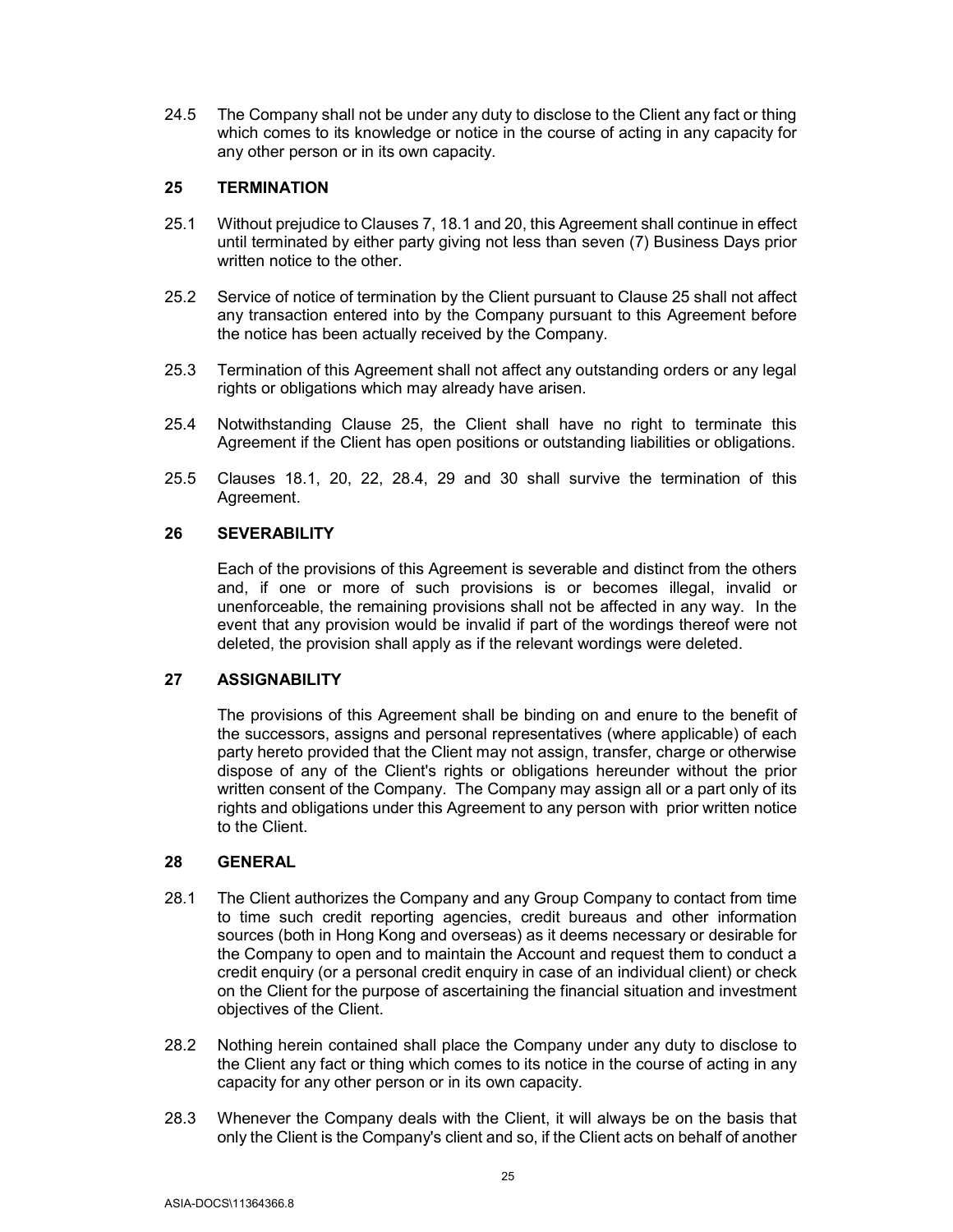24.5 The Company shall not be under any duty to disclose to the Client any fact or thing which comes to its knowledge or notice in the course of acting in any capacity for any other person or in its own capacity.

### 25 TERMINATION

- 25.1 Without prejudice to Clauses 7, 18.1 and 20, this Agreement shall continue in effect until terminated by either party giving not less than seven (7) Business Days prior written notice to the other.
- 25.2 Service of notice of termination by the Client pursuant to Clause 25 shall not affect any transaction entered into by the Company pursuant to this Agreement before the notice has been actually received by the Company.
- 25.3 Termination of this Agreement shall not affect any outstanding orders or any legal rights or obligations which may already have arisen.
- 25.4 Notwithstanding Clause 25, the Client shall have no right to terminate this Agreement if the Client has open positions or outstanding liabilities or obligations.
- 25.5 Clauses 18.1, 20, 22, 28.4, 29 and 30 shall survive the termination of this Agreement.

### 26 SEVERABILITY

Each of the provisions of this Agreement is severable and distinct from the others and, if one or more of such provisions is or becomes illegal, invalid or unenforceable, the remaining provisions shall not be affected in any way. In the event that any provision would be invalid if part of the wordings thereof were not deleted, the provision shall apply as if the relevant wordings were deleted.

# 27 ASSIGNABILITY

The provisions of this Agreement shall be binding on and enure to the benefit of the successors, assigns and personal representatives (where applicable) of each party hereto provided that the Client may not assign, transfer, charge or otherwise dispose of any of the Client's rights or obligations hereunder without the prior written consent of the Company. The Company may assign all or a part only of its rights and obligations under this Agreement to any person with prior written notice to the Client.

#### 28 GENERAL

- 28.1 The Client authorizes the Company and any Group Company to contact from time to time such credit reporting agencies, credit bureaus and other information sources (both in Hong Kong and overseas) as it deems necessary or desirable for the Company to open and to maintain the Account and request them to conduct a credit enquiry (or a personal credit enquiry in case of an individual client) or check on the Client for the purpose of ascertaining the financial situation and investment objectives of the Client.
- 28.2 Nothing herein contained shall place the Company under any duty to disclose to the Client any fact or thing which comes to its notice in the course of acting in any capacity for any other person or in its own capacity.
- 28.3 Whenever the Company deals with the Client, it will always be on the basis that only the Client is the Company's client and so, if the Client acts on behalf of another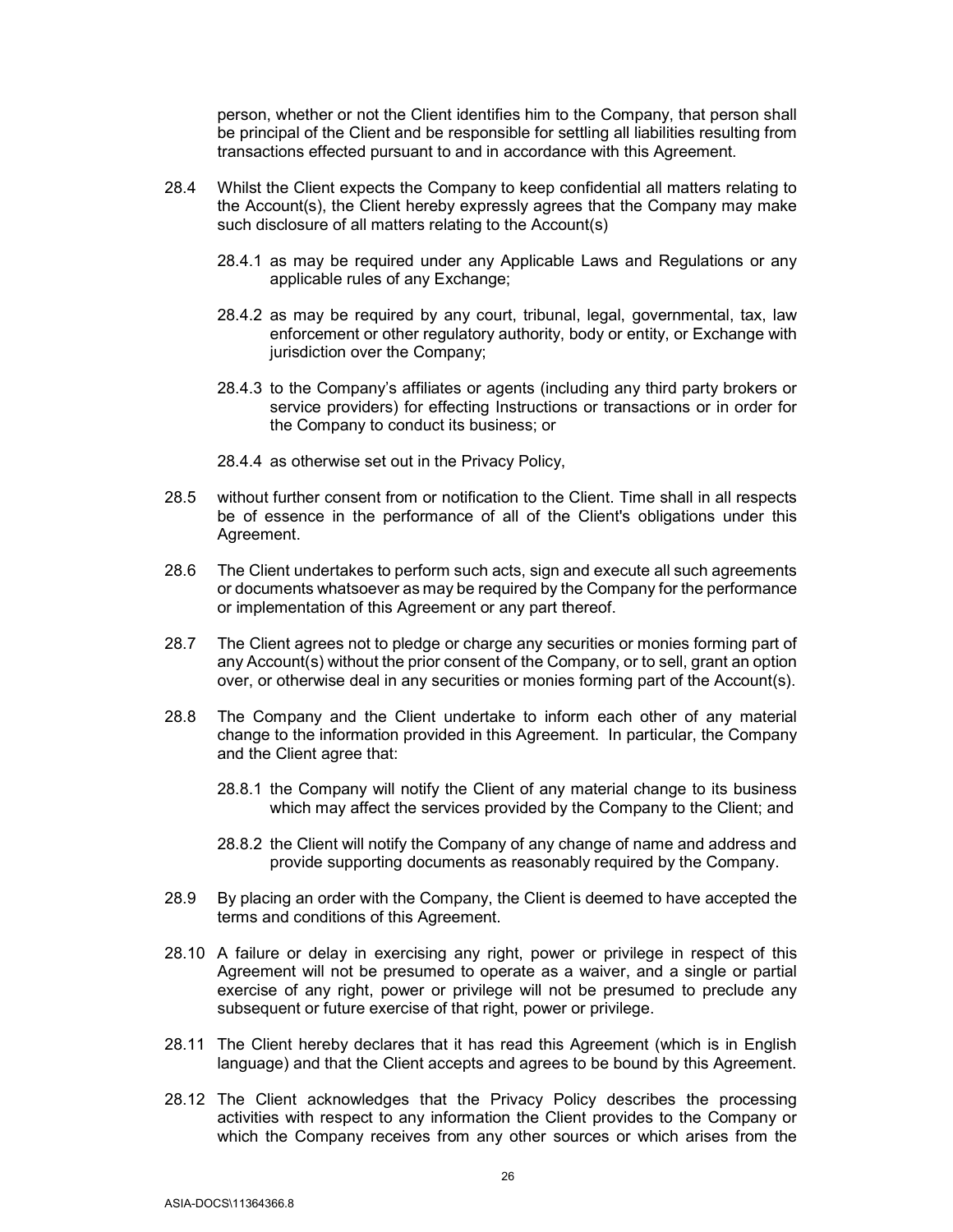person, whether or not the Client identifies him to the Company, that person shall be principal of the Client and be responsible for settling all liabilities resulting from transactions effected pursuant to and in accordance with this Agreement.

- 28.4 Whilst the Client expects the Company to keep confidential all matters relating to the Account(s), the Client hereby expressly agrees that the Company may make such disclosure of all matters relating to the Account(s)
	- 28.4.1 as may be required under any Applicable Laws and Regulations or any applicable rules of any Exchange;
	- 28.4.2 as may be required by any court, tribunal, legal, governmental, tax, law enforcement or other regulatory authority, body or entity, or Exchange with jurisdiction over the Company;
	- 28.4.3 to the Company's affiliates or agents (including any third party brokers or service providers) for effecting Instructions or transactions or in order for the Company to conduct its business; or
	- 28.4.4 as otherwise set out in the Privacy Policy,
- 28.5 without further consent from or notification to the Client. Time shall in all respects be of essence in the performance of all of the Client's obligations under this Agreement.
- 28.6 The Client undertakes to perform such acts, sign and execute all such agreements or documents whatsoever as may be required by the Company for the performance or implementation of this Agreement or any part thereof.
- 28.7 The Client agrees not to pledge or charge any securities or monies forming part of any Account(s) without the prior consent of the Company, or to sell, grant an option over, or otherwise deal in any securities or monies forming part of the Account(s).
- 28.8 The Company and the Client undertake to inform each other of any material change to the information provided in this Agreement. In particular, the Company and the Client agree that:
	- 28.8.1 the Company will notify the Client of any material change to its business which may affect the services provided by the Company to the Client; and
	- 28.8.2 the Client will notify the Company of any change of name and address and provide supporting documents as reasonably required by the Company.
- 28.9 By placing an order with the Company, the Client is deemed to have accepted the terms and conditions of this Agreement.
- 28.10 A failure or delay in exercising any right, power or privilege in respect of this Agreement will not be presumed to operate as a waiver, and a single or partial exercise of any right, power or privilege will not be presumed to preclude any subsequent or future exercise of that right, power or privilege.
- 28.11 The Client hereby declares that it has read this Agreement (which is in English language) and that the Client accepts and agrees to be bound by this Agreement.
- 28.12 The Client acknowledges that the Privacy Policy describes the processing activities with respect to any information the Client provides to the Company or which the Company receives from any other sources or which arises from the